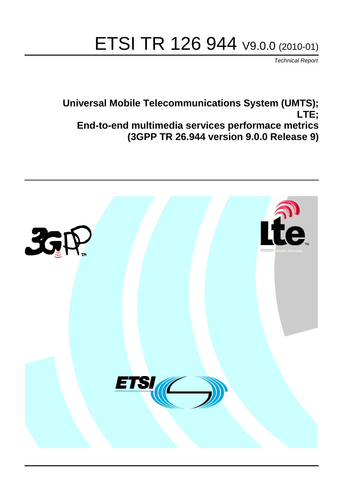# ETSI TR 126 944 V9.0.0 (2010-01)

*Technical Report*

**Universal Mobile Telecommunications System (UMTS); LTE; End-to-end multimedia services performace metrics (3GPP TR 26.944 version 9.0.0 Release 9)**

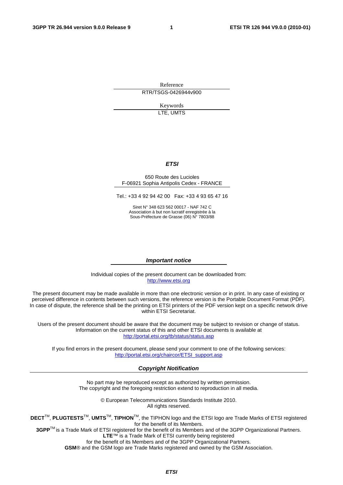Reference RTR/TSGS-0426944v900

> Keywords LTE, UMTS

#### *ETSI*

#### 650 Route des Lucioles F-06921 Sophia Antipolis Cedex - FRANCE

Tel.: +33 4 92 94 42 00 Fax: +33 4 93 65 47 16

Siret N° 348 623 562 00017 - NAF 742 C Association à but non lucratif enregistrée à la Sous-Préfecture de Grasse (06) N° 7803/88

#### *Important notice*

Individual copies of the present document can be downloaded from: [http://www.etsi.org](http://www.etsi.org/)

The present document may be made available in more than one electronic version or in print. In any case of existing or perceived difference in contents between such versions, the reference version is the Portable Document Format (PDF). In case of dispute, the reference shall be the printing on ETSI printers of the PDF version kept on a specific network drive within ETSI Secretariat.

Users of the present document should be aware that the document may be subject to revision or change of status. Information on the current status of this and other ETSI documents is available at <http://portal.etsi.org/tb/status/status.asp>

If you find errors in the present document, please send your comment to one of the following services: [http://portal.etsi.org/chaircor/ETSI\\_support.asp](http://portal.etsi.org/chaircor/ETSI_support.asp)

#### *Copyright Notification*

No part may be reproduced except as authorized by written permission. The copyright and the foregoing restriction extend to reproduction in all media.

> © European Telecommunications Standards Institute 2010. All rights reserved.

**DECT**TM, **PLUGTESTS**TM, **UMTS**TM, **TIPHON**TM, the TIPHON logo and the ETSI logo are Trade Marks of ETSI registered for the benefit of its Members.

**3GPP**TM is a Trade Mark of ETSI registered for the benefit of its Members and of the 3GPP Organizational Partners. **LTE**™ is a Trade Mark of ETSI currently being registered

for the benefit of its Members and of the 3GPP Organizational Partners.

**GSM**® and the GSM logo are Trade Marks registered and owned by the GSM Association.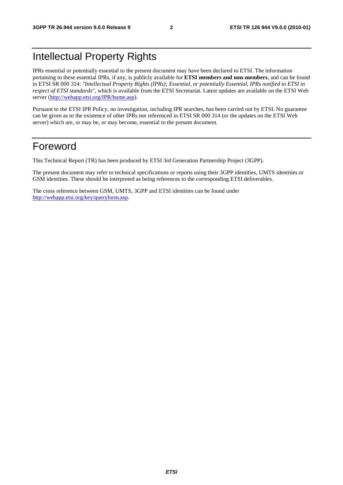# Intellectual Property Rights

IPRs essential or potentially essential to the present document may have been declared to ETSI. The information pertaining to these essential IPRs, if any, is publicly available for **ETSI members and non-members**, and can be found in ETSI SR 000 314: *"Intellectual Property Rights (IPRs); Essential, or potentially Essential, IPRs notified to ETSI in respect of ETSI standards"*, which is available from the ETSI Secretariat. Latest updates are available on the ETSI Web server [\(http://webapp.etsi.org/IPR/home.asp](http://webapp.etsi.org/IPR/home.asp)).

Pursuant to the ETSI IPR Policy, no investigation, including IPR searches, has been carried out by ETSI. No guarantee can be given as to the existence of other IPRs not referenced in ETSI SR 000 314 (or the updates on the ETSI Web server) which are, or may be, or may become, essential to the present document.

# Foreword

This Technical Report (TR) has been produced by ETSI 3rd Generation Partnership Project (3GPP).

The present document may refer to technical specifications or reports using their 3GPP identities, UMTS identities or GSM identities. These should be interpreted as being references to the corresponding ETSI deliverables.

The cross reference between GSM, UMTS, 3GPP and ETSI identities can be found under [http://webapp.etsi.org/key/queryform.asp.](http://webapp.etsi.org/key/queryform.asp)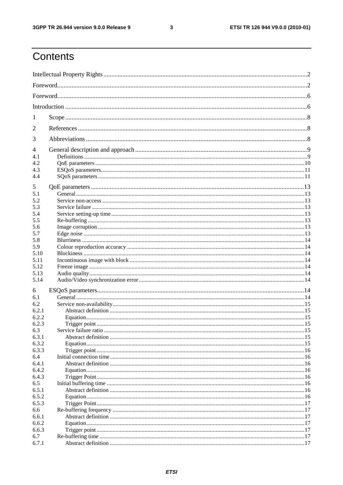$\mathbf{3}$ 

# Contents

| 1     |  |  |  |
|-------|--|--|--|
| 2     |  |  |  |
| 3     |  |  |  |
| 4     |  |  |  |
| 4.1   |  |  |  |
| 4.2   |  |  |  |
| 4.3   |  |  |  |
| 4.4   |  |  |  |
|       |  |  |  |
| 5     |  |  |  |
| 5.1   |  |  |  |
| 5.2   |  |  |  |
| 5.3   |  |  |  |
| 5.4   |  |  |  |
| 5.5   |  |  |  |
| 5.6   |  |  |  |
| 5.7   |  |  |  |
| 5.8   |  |  |  |
|       |  |  |  |
| 5.9   |  |  |  |
| 5.10  |  |  |  |
| 5.11  |  |  |  |
| 5.12  |  |  |  |
| 5.13  |  |  |  |
| 5.14  |  |  |  |
|       |  |  |  |
| 6     |  |  |  |
| 6.1   |  |  |  |
| 6.2   |  |  |  |
| 6.2.1 |  |  |  |
| 6.2.2 |  |  |  |
| 6.2.3 |  |  |  |
| 6.3   |  |  |  |
| 6.3.1 |  |  |  |
| 6.3.2 |  |  |  |
| 6.3.3 |  |  |  |
| 6.4   |  |  |  |
|       |  |  |  |
| 6.4.1 |  |  |  |
| 6.4.2 |  |  |  |
| 6.4.3 |  |  |  |
| 6.5   |  |  |  |
| 6.5.1 |  |  |  |
| 6.5.2 |  |  |  |
| 6.5.3 |  |  |  |
| 6.6   |  |  |  |
| 6.6.1 |  |  |  |
| 6.6.2 |  |  |  |
| 6.6.3 |  |  |  |
|       |  |  |  |
| 6.7   |  |  |  |
| 6.7.1 |  |  |  |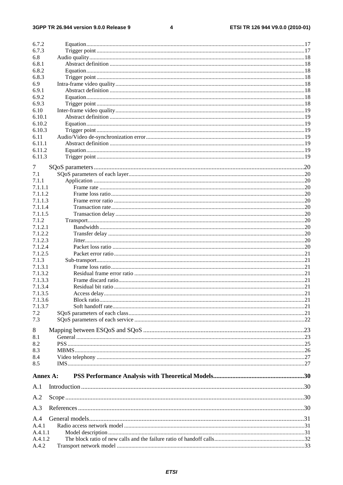#### $\overline{\mathbf{4}}$

| 6.7.2    |  |
|----------|--|
| 6.7.3    |  |
| 6.8      |  |
| 6.8.1    |  |
| 6.8.2    |  |
| 6.8.3    |  |
| 6.9      |  |
|          |  |
| 6.9.1    |  |
| 6.9.2    |  |
| 6.9.3    |  |
| 6.10     |  |
| 6.10.1   |  |
| 6.10.2   |  |
| 6.10.3   |  |
| 6.11     |  |
| 6.11.1   |  |
| 6.11.2   |  |
| 6.11.3   |  |
|          |  |
| 7        |  |
| 7.1      |  |
| 7.1.1    |  |
| 7.1.1.1  |  |
| 7.1.1.2  |  |
|          |  |
| 7.1.1.3  |  |
| 7.1.1.4  |  |
| 7.1.1.5  |  |
| 7.1.2    |  |
| 7.1.2.1  |  |
| 7.1.2.2  |  |
| 7.1.2.3  |  |
| 7.1.2.4  |  |
| 7.1.2.5  |  |
| 7.1.3    |  |
| 7.1.3.1  |  |
|          |  |
| 7.1.3.2  |  |
| 7.1.3.3  |  |
| 7.1.3.4  |  |
| 7.1.3.5  |  |
| 7.1.3.6  |  |
| 7.1.3.7  |  |
| 7.2      |  |
| 7.3      |  |
|          |  |
| 8        |  |
| 8.1      |  |
| 8.2      |  |
| 8.3      |  |
| 8.4      |  |
| 8.5      |  |
|          |  |
| Annex A: |  |
|          |  |
| A.1      |  |
|          |  |
| A.2      |  |
|          |  |
| A.3      |  |
| A.4      |  |
| A.4.1    |  |
|          |  |
| A.4.1.1  |  |
| A.4.1.2  |  |
| A.4.2    |  |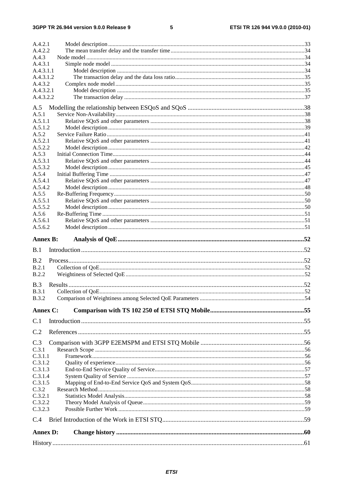#### $\overline{\mathbf{5}}$

| A.4.2.1                      |  |
|------------------------------|--|
| A.4.2.2                      |  |
| A.4.3                        |  |
| A.4.3.1                      |  |
| A.4.3.1.1                    |  |
| A.4.3.1.2                    |  |
| A.4.3.2                      |  |
| A.4.3.2.1                    |  |
| A.4.3.2.2                    |  |
| A.5                          |  |
| A.5.1                        |  |
| A.5.1.1                      |  |
| A.5.1.2                      |  |
| A.5.2                        |  |
| A.5.2.1                      |  |
| A.5.2.2                      |  |
| A.5.3                        |  |
| A.5.3.1                      |  |
| A.5.3.2                      |  |
| A.5.4                        |  |
| A.5.4.1                      |  |
| A.5.4.2                      |  |
| A.5.5                        |  |
| A.5.5.1                      |  |
| A.5.5.2                      |  |
| A.5.6                        |  |
| A.5.6.1                      |  |
| A.5.6.2                      |  |
| <b>Annex B:</b>              |  |
|                              |  |
|                              |  |
| B.1                          |  |
| B.2                          |  |
| B.2.1                        |  |
| B.2.2                        |  |
|                              |  |
| B.3                          |  |
| <b>B.3.1</b><br><b>B.3.2</b> |  |
|                              |  |
| Annex C:                     |  |
| C.1                          |  |
|                              |  |
| C.2                          |  |
| C.3                          |  |
| C.3.1                        |  |
| C.3.1.1                      |  |
| C.3.1.2                      |  |
| C.3.1.3                      |  |
| C.3.1.4                      |  |
| C.3.1.5                      |  |
| C.3.2                        |  |
| C.3.2.1                      |  |
| C.3.2.2                      |  |
| C.3.2.3                      |  |
| C.4                          |  |
|                              |  |
| <b>Annex D:</b>              |  |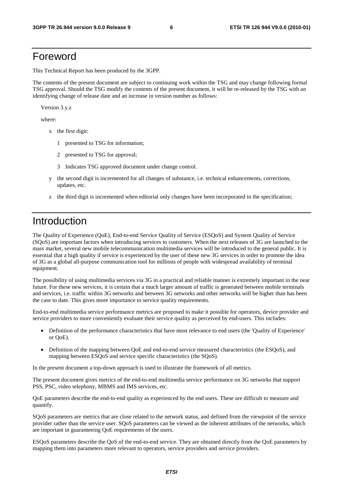# Foreword

This Technical Report has been produced by the 3GPP.

The contents of the present document are subject to continuing work within the TSG and may change following formal TSG approval. Should the TSG modify the contents of the present document, it will be re-released by the TSG with an identifying change of release date and an increase in version number as follows:

Version 3.y.z

where:

- x the first digit:
	- 1 presented to TSG for information;
	- 2 presented to TSG for approval;
	- 3 Indicates TSG approved document under change control.
- y the second digit is incremented for all changes of substance, i.e. technical enhancements, corrections, updates, etc.
- z the third digit is incremented when editorial only changes have been incorporated in the specification;

# Introduction

The Quality of Experience (QoE), End-to-end Service Quality of Service (ESQoS) and System Quality of Service (SQoS) are important factors when introducing services to customers. When the next releases of 3G are launched to the mass market, several new mobile telecommunication multimedia services will be introduced to the general public. It is essential that a high quality if service is experienced by the user of these new 3G services in order to promote the idea of 3G as a global all-purpose communication tool for millions of people with widespread availability of terminal equipment.

The possibility of using multimedia services via 3G in a practical and reliable manner is extremely important in the near future. For these new services, it is certain that a much larger amount of traffic is generated between mobile terminals and services, i.e. traffic within 3G networks and between 3G networks and other networks will be higher than has been the case to date. This gives more importance to service quality requirements.

End-to-end multimedia service performance metrics are proposed to make it possible for operators, device provider and service providers to more conveniently evaluate their service quality as perceived by end-users. This includes:

- Definition of the performance characteristics that have most relevance to end users (the 'Quality of Experience' or QoE).
- Definition of the mapping between QoE and end-to-end service measured characteristics (the ESQoS), and mapping between ESQoS and service specific characteristics (the SQoS).

In the present document a top-down approach is used to illustrate the framework of all metrics.

The present document gives metrics of the end-to-end multimedia service performance on 3G networks that support PSS, PSC, video telephony, MBMS and IMS services, etc.

QoE parameters describe the end-to-end quality as experienced by the end users. These are difficult to measure and quantify.

SQoS parameters are metrics that are close related to the network status, and defined from the viewpoint of the service provider rather than the service user. SQoS parameters can be viewed as the inherent attributes of the networks, which are important in guaranteeing QoE requirements of the users.

ESQoS parameters describe the QoS of the end-to-end service. They are obtained directly from the QoE parameters by mapping them into parameters more relevant to operators, service providers and service providers.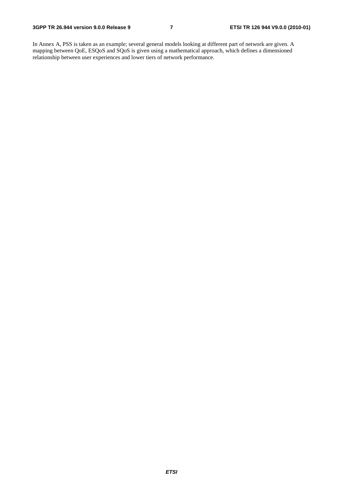In Annex A, PSS is taken as an example; several general models looking at different part of network are given. A mapping between QoE, ESQoS and SQoS is given using a mathematical approach, which defines a dimensioned relationship between user experiences and lower tiers of network performance.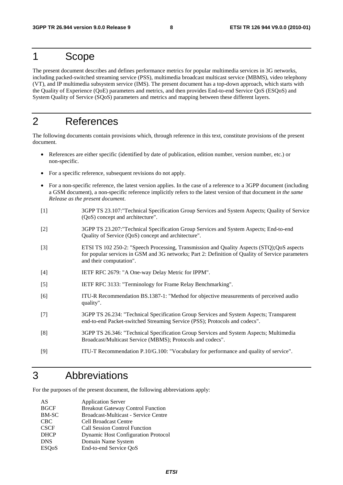# 1 Scope

The present document describes and defines performance metrics for popular multimedia services in 3G networks, including packed-switched streaming service (PSS), multimedia broadcast multicast service (MBMS), video telephony (VT), and IP multimedia subsystem service (IMS). The present document has a top-down approach, which starts with the Quality of Experience (QoE) parameters and metrics, and then provides End-to-end Service QoS (ESQoS) and System Quality of Service (SQoS) parameters and metrics and mapping between these different layers.

# 2 References

The following documents contain provisions which, through reference in this text, constitute provisions of the present document.

- References are either specific (identified by date of publication, edition number, version number, etc.) or non-specific.
- For a specific reference, subsequent revisions do not apply.
- For a non-specific reference, the latest version applies. In the case of a reference to a 3GPP document (including a GSM document), a non-specific reference implicitly refers to the latest version of that document *in the same Release as the present document*.
- [1] 3GPP TS 23.107:"Technical Specification Group Services and System Aspects; Quality of Service (QoS) concept and architecture".
- [2] 3GPP TS 23.207:"Technical Specification Group Services and System Aspects; End-to-end Quality of Service (QoS) concept and architecture".
- [3] ETSI TS 102 250-2: "Speech Processing, Transmission and Quality Aspects (STQ);QoS aspects for popular services in GSM and 3G networks; Part 2: Definition of Quality of Service parameters and their computation".
- [4] IETF RFC 2679: "A One-way Delay Metric for IPPM".
- [5] IETF RFC 3133: "Terminology for Frame Relay Benchmarking".
- [6] ITU-R Recommendation BS.1387-1: "Method for objective measurements of perceived audio quality".
- [7] 3GPP TS 26.234: "Technical Specification Group Services and System Aspects; Transparent end-to-end Packet-switched Streaming Service (PSS); Protocols and codecs".
- [8] 3GPP TS 26.346: "Technical Specification Group Services and System Aspects; Multimedia Broadcast/Multicast Service (MBMS); Protocols and codecs".
- [9] ITU-T Recommendation P.10/G.100: "Vocabulary for performance and quality of service".

# 3 Abbreviations

For the purposes of the present document, the following abbreviations apply:

| AS                        | <b>Application Server</b>                  |
|---------------------------|--------------------------------------------|
| <b>BGCF</b>               | <b>Breakout Gateway Control Function</b>   |
| <b>BM-SC</b>              | Broadcast-Multicast - Service Centre       |
| <b>CBC</b>                | <b>Cell Broadcast Centre</b>               |
| <b>CSCF</b>               | <b>Call Session Control Function</b>       |
| <b>DHCP</b>               | <b>Dynamic Host Configuration Protocol</b> |
| <b>DNS</b>                | Domain Name System                         |
| <b>ESO</b> <sub>o</sub> S | End-to-end Service QoS                     |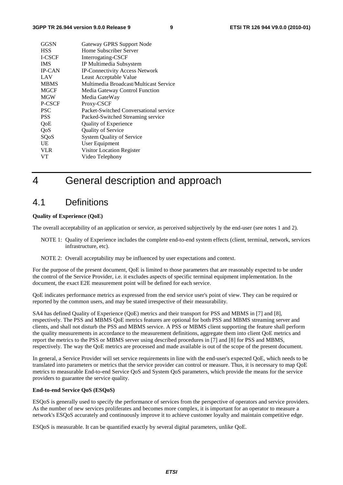| GGSN          | Gateway GPRS Support Node              |  |
|---------------|----------------------------------------|--|
| <b>HSS</b>    | Home Subscriber Server                 |  |
| <b>I-CSCF</b> | Interrogating-CSCF                     |  |
| <b>IMS</b>    | IP Multimedia Subsystem                |  |
| <b>IP-CAN</b> | <b>IP-Connectivity Access Network</b>  |  |
| LAV           | Least Acceptable Value                 |  |
| <b>MBMS</b>   | Multimedia Broadcast/Multicast Service |  |
| <b>MGCF</b>   | Media Gateway Control Function         |  |
| <b>MGW</b>    | Media GateWay                          |  |
| P-CSCF        | Proxy-CSCF                             |  |
| <b>PSC</b>    | Packet-Switched Conversational service |  |
| <b>PSS</b>    | Packed-Switched Streaming service      |  |
| QoE           | <b>Quality of Experience</b>           |  |
| QoS           | <b>Quality of Service</b>              |  |
| SQoS          | <b>System Quality of Service</b>       |  |
| UE            | User Equipment                         |  |
| <b>VLR</b>    | Visitor Location Register              |  |
| VТ            | Video Telephony                        |  |

# 4 General description and approach

## 4.1 Definitions

#### **Quality of Experience (QoE)**

The overall acceptability of an application or service, as perceived subjectively by the end-user (see notes 1 and 2).

- NOTE 1: Quality of Experience includes the complete end-to-end system effects (client, terminal, network, services infrastructure, etc).
- NOTE 2: Overall acceptability may be influenced by user expectations and context.

For the purpose of the present document, QoE is limited to those parameters that are reasonably expected to be under the control of the Service Provider, i.e. it excludes aspects of specific terminal equipment implementation. In the document, the exact E2E measurement point will be defined for each service.

QoE indicates performance metrics as expressed from the end service user's point of view. They can be required or reported by the common users, and may be stated irrespective of their measurability.

SA4 has defined Quality of Experience (QoE) metrics and their transport for PSS and MBMS in [7] and [8], respectively. The PSS and MBMS QoE metrics features are optional for both PSS and MBMS streaming server and clients, and shall not disturb the PSS and MBMS service. A PSS or MBMS client supporting the feature shall perform the quality measurements in accordance to the measurement definitions, aggregate them into client QoE metrics and report the metrics to the PSS or MBMS server using described procedures in [7] and [8] for PSS and MBMS, respectively. The way the QoE metrics are processed and made available is out of the scope of the present document.

In general, a Service Provider will set service requirements in line with the end-user's expected QoE, which needs to be translated into parameters or metrics that the service provider can control or measure. Thus, it is necessary to map QoE metrics to measurable End-to-end Service QoS and System QoS parameters, which provide the means for the service providers to guarantee the service quality.

#### **End-to-end Service QoS (ESQoS)**

ESQoS is generally used to specify the performance of services from the perspective of operators and service providers. As the number of new services proliferates and becomes more complex, it is important for an operator to measure a network's ESQoS accurately and continuously improve it to achieve customer loyalty and maintain competitive edge.

ESQoS is measurable. It can be quantified exactly by several digital parameters, unlike QoE.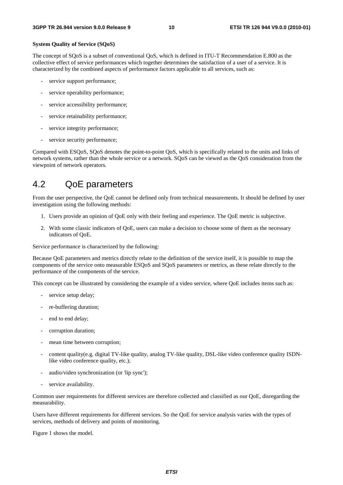#### **System Quality of Service (SQoS)**

The concept of SQoS is a subset of conventional QoS, which is defined in ITU-T Recommendation E.800 as the collective effect of service performances which together determines the satisfaction of a user of a service. It is characterized by the combined aspects of performance factors applicable to all services, such as:

- service support performance;
- service operability performance;
- service accessibility performance;
- service retainability performance;
- service integrity performance;
- service security performance;

Compared with ESQoS, SQoS denotes the point-to-point QoS, which is specifically related to the units and links of network systems, rather than the whole service or a network. SQoS can be viewed as the QoS consideration from the viewpoint of network operators.

## 4.2 QoE parameters

From the user perspective, the QoE cannot be defined only from technical measurements. It should be defined by user investigation using the following methods:

- 1. Users provide an opinion of QoE only with their feeling and experience. The QoE metric is subjective.
- 2. With some classic indicators of QoE, users can make a decision to choose some of them as the necessary indicators of QoE.

Service performance is characterized by the following:

Because QoE parameters and metrics directly relate to the definition of the service itself, it is possible to map the components of the service onto measurable ESQoS and SQoS parameters or metrics, as these relate directly to the performance of the components of the service.

This concept can be illustrated by considering the example of a video service, where QoE includes items such as:

- service setup delay;
- re-buffering duration:
- end to end delay;
- corruption duration;
- mean time between corruption;
- content quality(e.g. digital TV-like quality, analog TV-like quality, DSL-like video conference quality ISDNlike video conference quality, etc.);
- audio/video synchronization (or 'lip sync');
- service availability.

Common user requirements for different services are therefore collected and classified as our QoE, disregarding the measurability.

Users have different requirements for different services. So the QoE for service analysis varies with the types of services, methods of delivery and points of monitoring.

Figure 1 shows the model.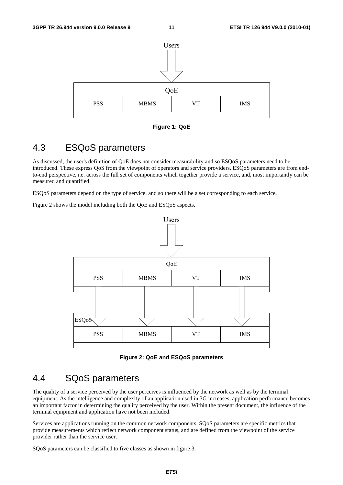

**Figure 1: QoE** 

## 4.3 ESQoS parameters

As discussed, the user's definition of QoE does not consider measurability and so ESQoS parameters need to be introduced. These express QoS from the viewpoint of operators and service providers. ESQoS parameters are from endto-end perspective, i.e. across the full set of components which together provide a service, and, most importantly can be measured and quantified.

ESQoS parameters depend on the type of service, and so there will be a set corresponding to each service.

Figure 2 shows the model including both the QoE and ESQoS aspects.



**Figure 2: QoE and ESQoS parameters** 

## 4.4 SQoS parameters

The quality of a service perceived by the user perceives is influenced by the network as well as by the terminal equipment. As the intelligence and complexity of an application used in 3G increases, application performance becomes an important factor in determining the quality perceived by the user. Within the present document, the influence of the terminal equipment and application have not been included.

Services are applications running on the common network components. SQoS parameters are specific metrics that provide measurements which reflect network component status, and are defined from the viewpoint of the service provider rather than the service user.

SQoS parameters can be classified to five classes as shown in figure 3.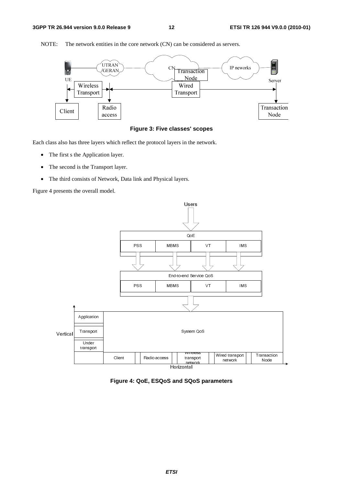

NOTE: The network entities in the core network (CN) can be considered as servers.



Each class also has three layers which reflect the protocol layers in the network.

- The first s the Application layer.
- The second is the Transport layer.
- The third consists of Network, Data link and Physical layers.

Figure 4 presents the overall model.



**Figure 4: QoE, ESQoS and SQoS parameters**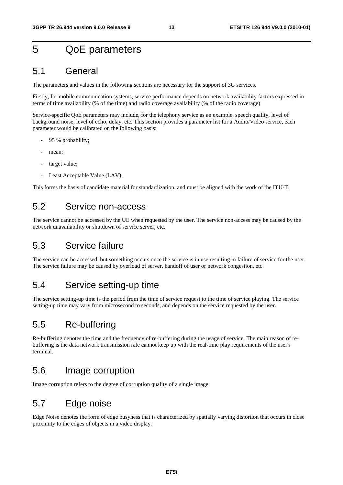# 5 QoE parameters

## 5.1 General

The parameters and values in the following sections are necessary for the support of 3G services.

Firstly, for mobile communication systems, service performance depends on network availability factors expressed in terms of time availability (% of the time) and radio coverage availability (% of the radio coverage).

Service-specific QoE parameters may include, for the telephony service as an example, speech quality, level of background noise, level of echo, delay, etc. This section provides a parameter list for a Audio/Video service, each parameter would be calibrated on the following basis:

- 95 % probability;
- mean;
- target value:
- Least Acceptable Value (LAV).

This forms the basis of candidate material for standardization, and must be aligned with the work of the ITU-T.

## 5.2 Service non-access

The service cannot be accessed by the UE when requested by the user. The service non-access may be caused by the network unavailability or shutdown of service server, etc.

## 5.3 Service failure

The service can be accessed, but something occurs once the service is in use resulting in failure of service for the user. The service failure may be caused by overload of server, handoff of user or network congestion, etc.

## 5.4 Service setting-up time

The service setting-up time is the period from the time of service request to the time of service playing. The service setting-up time may vary from microsecond to seconds, and depends on the service requested by the user.

## 5.5 Re-buffering

Re-buffering denotes the time and the frequency of re-buffering during the usage of service. The main reason of rebuffering is the data network transmission rate cannot keep up with the real-time play requirements of the user's terminal.

## 5.6 Image corruption

Image corruption refers to the degree of corruption quality of a single image.

# 5.7 Edge noise

Edge Noise denotes the form of edge busyness that is characterized by spatially varying distortion that occurs in close proximity to the edges of objects in a video display.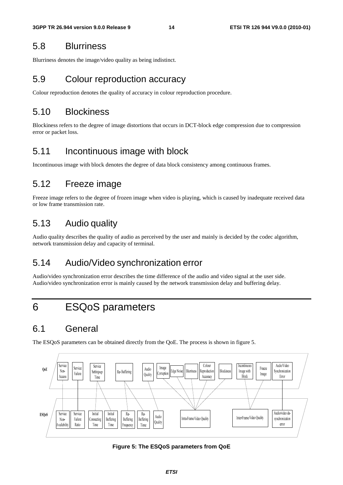## 5.8 Blurriness

Blurriness denotes the image/video quality as being indistinct.

## 5.9 Colour reproduction accuracy

Colour reproduction denotes the quality of accuracy in colour reproduction procedure.

## 5.10 Blockiness

Blockiness refers to the degree of image distortions that occurs in DCT-block edge compression due to compression error or packet loss.

## 5.11 Incontinuous image with block

Incontinuous image with block denotes the degree of data block consistency among continuous frames.

## 5.12 Freeze image

Freeze image refers to the degree of frozen image when video is playing, which is caused by inadequate received data or low frame transmission rate.

## 5.13 Audio quality

Audio quality describes the quality of audio as perceived by the user and mainly is decided by the codec algorithm, network transmission delay and capacity of terminal.

## 5.14 Audio/Video synchronization error

Audio/video synchronization error describes the time difference of the audio and video signal at the user side. Audio/video synchronization error is mainly caused by the network transmission delay and buffering delay.

# 6 ESQoS parameters

## 6.1 General

The ESQoS parameters can be obtained directly from the QoE. The process is shown in figure 5.



**Figure 5: The ESQoS parameters from QoE**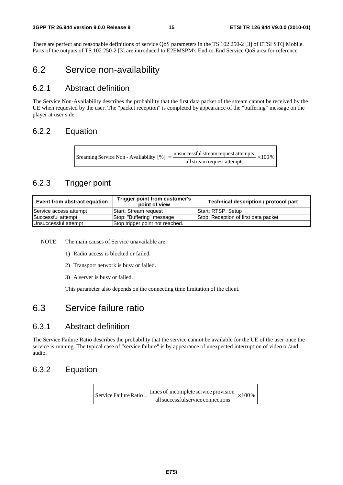There are perfect and reasonable definitions of service QoS parameters in the TS 102 250-2 [3] of ETSI STQ Mobile. Parts of the outputs of TS 102 250-2 [3] are introduced to E2EMSPM's End-to-End Service QoS area for reference.

## 6.2 Service non-availability

### 6.2.1 Abstract definition

The Service Non-Availability describes the probability that the first data packet of the stream cannot be received by the UE when requested by the user. The "packet reception" is completed by appearance of the "buffering" message on the player at user side.

#### 6.2.2 Equation

 $\times 100\%$ allstream request attempts Sreaming Service Non - Availability  $[\%] = \frac{\text{unsuccessful stream request attempts}}{\text{...}}$ 

## 6.2.3 Trigger point

| Event from abstract equation | Trigger point from customer's<br>point of view | Technical description / protocol part |
|------------------------------|------------------------------------------------|---------------------------------------|
| Service access attempt       | <b>Start: Stream request</b>                   | Start: RTSP: Setup                    |
| Successful attempt           | Stop: "Buffering" message                      | Stop: Reception of first data packet  |
| Unsuccessful attempt         | Stop trigger point not reached.                |                                       |

NOTE: The main causes of Service unavailable are:

- 1) Radio access is blocked or failed.
- 2) Transport network is busy or failed.
- 3) A server is busy or failed.

This parameter also depends on the connecting time limitation of the client.

## 6.3 Service failure ratio

### 6.3.1 Abstract definition

The Service Failure Ratio describes the probability that the service cannot be available for the UE of the user once the service is running. The typical case of "service failure" is by appearance of unexpected interruption of video or/and audio.

### 6.3.2 Equation

 $\times100\%$ allsuccessfulservice connections Service Failure Ratio  $=$   $\frac{\text{times of incomplete service provision}}{}$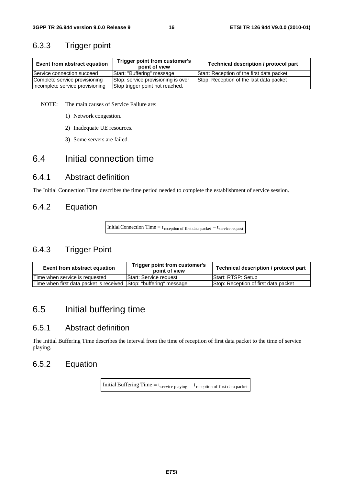## 6.3.3 Trigger point

| Event from abstract equation    | Trigger point from customer's<br>point of view | Technical description / protocol part     |
|---------------------------------|------------------------------------------------|-------------------------------------------|
| Service connection succeed      | Start: "Buffering" message                     | Start: Reception of the first data packet |
| Complete service provisioning   | Stop: service provisioning is over             | Stop: Reception of the last data packet   |
| incomplete service provisioning | Stop trigger point not reached.                |                                           |

NOTE: The main causes of Service Failure are:

- 1) Network congestion.
- 2) Inadequate UE resources.
- 3) Some servers are failed.

## 6.4 Initial connection time

#### 6.4.1 Abstract definition

The Initial Connection Time describes the time period needed to complete the establishment of service session.

## 6.4.2 Equation

Initial Connection Time =  $t_{\text{reception of first data packet}} - t_{\text{service request}}$ 

## 6.4.3 Trigger Point

| Event from abstract equation                                       | Trigger point from customer's<br>point of view | Technical description / protocol part |
|--------------------------------------------------------------------|------------------------------------------------|---------------------------------------|
| Time when service is requested                                     | <b>Start: Service request</b>                  | <b>Start: RTSP: Setup</b>             |
| Time when first data packet is received Sttop: "buffering" message |                                                | Stop: Reception of first data packet  |

# 6.5 Initial buffering time

### 6.5.1 Abstract definition

The Initial Buffering Time describes the interval from the time of reception of first data packet to the time of service playing.

## 6.5.2 Equation

Initial Buffering Time =  $t_{\text{service playing}} - t_{\text{reception of first data packet}}$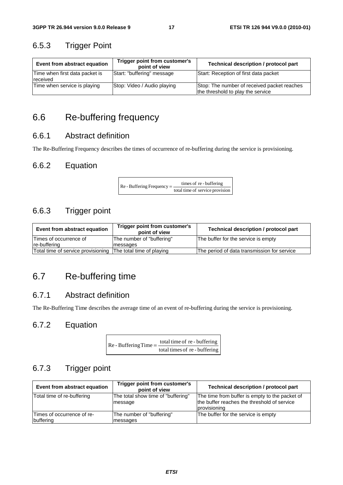## 6.5.3 Trigger Point

| Event from abstract equation               | Trigger point from customer's<br>point of view | Technical description / protocol part                                            |
|--------------------------------------------|------------------------------------------------|----------------------------------------------------------------------------------|
| Time when first data packet is<br>received | Start: "buffering" message                     | Start: Reception of first data packet                                            |
| Time when service is playing               | Stop: Video / Audio playing                    | Stop: The number of received packet reaches<br>the threshold to play the service |

# 6.6 Re-buffering frequency

## 6.6.1 Abstract definition

The Re-Buffering Frequency describes the times of occurrence of re-buffering during the service is provisioning.

## 6.6.2 Equation

 $\text{Re}$  - Buffering Frequency =  $\frac{\text{times of re} \cdot \text{buffering}}{\text{total time of service provision}}$ 

## 6.6.3 Trigger point

| Event from abstract equation                                 | Trigger point from customer's<br>point of view | Technical description / protocol part       |
|--------------------------------------------------------------|------------------------------------------------|---------------------------------------------|
| Times of occurrence of                                       | The number of "buffering"                      | The buffer for the service is empty         |
| re-buffering                                                 | messages                                       |                                             |
| Total time of service provisioning The total time of playing |                                                | The period of data transmission for service |

# 6.7 Re-buffering time

## 6.7.1 Abstract definition

The Re-Buffering Time describes the average time of an event of re-buffering during the service is provisioning.

## 6.7.2 Equation

| $Re$ - Buffering Time = $\frac{10}{10}$ | total time of re-buffering    |
|-----------------------------------------|-------------------------------|
|                                         | total times of re - buffering |

## 6.7.3 Trigger point

| Event from abstract equation            | Trigger point from customer's<br>point of view | Technical description / protocol part                                                                         |
|-----------------------------------------|------------------------------------------------|---------------------------------------------------------------------------------------------------------------|
| Total time of re-buffering              | The total show time of "buffering"<br>message  | The time from buffer is empty to the packet of<br>the buffer reaches the threshold of service<br>provisioning |
| Times of occurrence of re-<br>buffering | The number of "buffering"<br>messages          | The buffer for the service is empty                                                                           |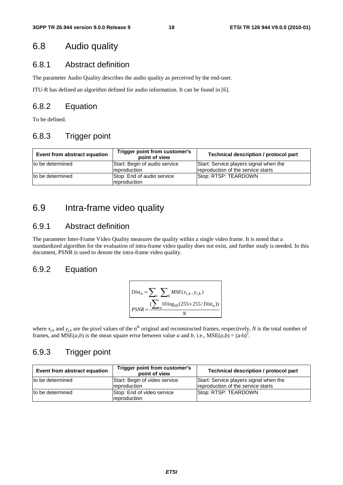## 6.8 Audio quality

### 6.8.1 Abstract definition

The parameter Audio Quality describes the audio quality as perceived by the end-user.

ITU-R has defined an algorithm defined for audio information. It can be found in [6].

#### 6.8.2 Equation

To be defined.

## 6.8.3 Trigger point

| Event from abstract equation | Trigger point from customer's<br>point of view | Technical description / protocol part                                        |
|------------------------------|------------------------------------------------|------------------------------------------------------------------------------|
| Ito be determined            | Start: Begin of audio service<br>reproduction  | Start: Service players signal when the<br>reproduction of the service starts |
| to be determined             | Stop: End of audio service<br>reproduction     | Stop: RTSP: TEARDOWN                                                         |

## 6.9 Intra-frame video quality

### 6.9.1 Abstract definition

The parameter Inter-Frame Video Quality measures the quality within a single video frame. It is noted that a standardized algorithm for the evaluation of intra-frame video quality does not exist, and further study is needed. In this document, PSNR is used to denote the intra-frame video quality.

## 6.9.2 Equation

$$
Dist_n = \sum_{i} \sum_{k} MSE(x_{i,k}, y_{i,k})
$$
  
PSNR = 
$$
\frac{\sum_{i} 10 \log_{10}(255 \times 255/Dist_n))}{N}
$$

where  $x_{jk}$  and  $y_{jk}$  are the pixel values of the n<sup>th</sup> original and reconstructed frames, respectively, *N* is the total number of frames, and  $MSE(a,b)$  is the mean square error between value *a* and *b*, i.e.,  $MSE(a,b) = (a-b)^2$ .

## 6.9.3 Trigger point

| Event from abstract equation | Trigger point from customer's<br>point of view | Technical description / protocol part                                        |
|------------------------------|------------------------------------------------|------------------------------------------------------------------------------|
| to be determined             | Start: Begin of video service<br>reproduction  | Start: Service players signal when the<br>reproduction of the service starts |
| to be determined             | Stop: End of video service<br>reproduction     | Stop: RTSP: TEARDOWN                                                         |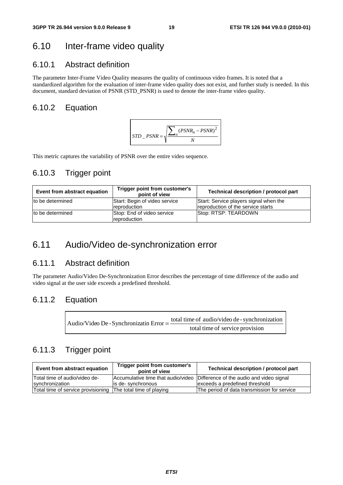## 6.10 Inter-frame video quality

## 6.10.1 Abstract definition

The parameter Inter-Frame Video Quality measures the quality of continuous video frames. It is noted that a standardized algorithm for the evaluation of inter-frame video quality does not exist, and further study is needed. In this document, standard deviation of PSNR (STD\_PSNR) is used to denote the inter-frame video quality.

## 6.10.2 Equation



This metric captures the variability of PSNR over the entire video sequence.

## 6.10.3 Trigger point

| Event from abstract equation | Trigger point from customer's<br>point of view       | Technical description / protocol part                                        |
|------------------------------|------------------------------------------------------|------------------------------------------------------------------------------|
| to be determined             | Start: Begin of video service<br><b>reproduction</b> | Start: Service players signal when the<br>reproduction of the service starts |
| to be determined             | Stop: End of video service<br><i>reproduction</i>    | Stop: RTSP: TEARDOWN                                                         |

## 6.11 Audio/Video de-synchronization error

## 6.11.1 Abstract definition

The parameter Audio/Video De-Synchronization Error describes the percentage of time difference of the audio and video signal at the user side exceeds a predefined threshold.

#### 6.11.2 Equation

| Audio/Video De - Synchronizatin Error = - | total time of audio/video de - synchronization |
|-------------------------------------------|------------------------------------------------|
|                                           | total time of service provision                |

## 6.11.3 Trigger point

| Event from abstract equation                                 | Trigger point from customer's<br>point of view | Technical description / protocol part                                       |  |  |  |
|--------------------------------------------------------------|------------------------------------------------|-----------------------------------------------------------------------------|--|--|--|
| ITotal time of audio/video de-                               |                                                | Accumulative time that audio/video Difference of the audio and video signal |  |  |  |
| synchronization                                              | lis de-synchronous                             | exceeds a predefined threshold                                              |  |  |  |
| Total time of service provisioning The total time of playing |                                                | The period of data transmission for service                                 |  |  |  |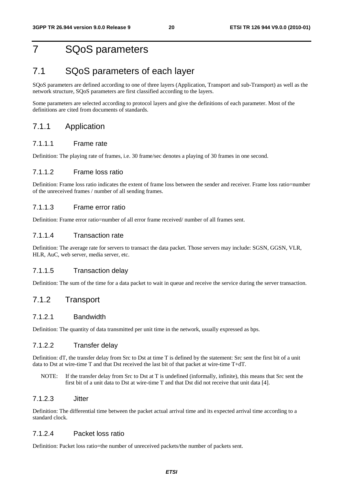# 7 SQoS parameters

## 7.1 SQoS parameters of each layer

SQoS parameters are defined according to one of three layers (Application, Transport and sub-Transport) as well as the network structure, SQoS parameters are first classified according to the layers.

Some parameters are selected according to protocol layers and give the definitions of each parameter. Most of the definitions are cited from documents of standards.

#### 7.1.1 Application

#### 7.1.1.1 Frame rate

Definition: The playing rate of frames, i.e. 30 frame/sec denotes a playing of 30 frames in one second.

#### 7.1.1.2 Frame loss ratio

Definition: Frame loss ratio indicates the extent of frame loss between the sender and receiver. Frame loss ratio=number of the unreceived frames / number of all sending frames.

#### 7.1.1.3 Frame error ratio

Definition: Frame error ratio=number of all error frame received/ number of all frames sent.

#### 7.1.1.4 Transaction rate

Definition: The average rate for servers to transact the data packet. Those servers may include: SGSN, GGSN, VLR, HLR, AuC, web server, media server, etc.

#### 7.1.1.5 Transaction delay

Definition: The sum of the time for a data packet to wait in queue and receive the service during the server transaction.

#### 7.1.2 Transport

#### 7.1.2.1 Bandwidth

Definition: The quantity of data transmitted per unit time in the network, usually expressed as bps.

#### 7.1.2.2 Transfer delay

Definition: dT, the transfer delay from Src to Dst at time T is defined by the statement: Src sent the first bit of a unit data to Dst at wire-time T and that Dst received the last bit of that packet at wire-time T+dT.

NOTE: If the transfer delay from Src to Dst at T is undefined (informally, infinite), this means that Src sent the first bit of a unit data to Dst at wire-time T and that Dst did not receive that unit data [4].

#### 7.1.2.3 Jitter

Definition: The differential time between the packet actual arrival time and its expected arrival time according to a standard clock.

#### 7.1.2.4 Packet loss ratio

Definition: Packet loss ratio=the number of unreceived packets/the number of packets sent.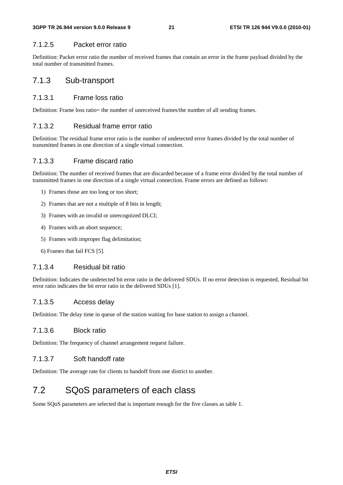#### 7.1.2.5 Packet error ratio

Definition: Packet error ratio the number of received frames that contain an error in the frame payload divided by the total number of transmitted frames.

### 7.1.3 Sub-transport

#### 7.1.3.1 Frame loss ratio

Definition: Frame loss ratio= the number of unreceived frames/the number of all sending frames.

#### 7.1.3.2 Residual frame error ratio

Definition: The residual frame error ratio is the number of undetected error frames divided by the total number of transmitted frames in one direction of a single virtual connection.

#### 7.1.3.3 Frame discard ratio

Definition: The number of received frames that are discarded because of a frame error divided by the total number of transmitted frames in one direction of a single virtual connection. Frame errors are defined as follows:

- 1) Frames those are too long or too short;
- 2) Frames that are not a multiple of 8 bits in length;
- 3) Frames with an invalid or unrecognized DLCI;
- 4) Frames with an abort sequence;
- 5) Frames with improper flag delimitation;
- 6) Frames that fail FCS [5].

#### 7.1.3.4 Residual bit ratio

Definition: Indicates the undetected bit error ratio in the delivered SDUs. If no error detection is requested, Residual bit error ratio indicates the bit error ratio in the delivered SDUs [1].

#### 7.1.3.5 Access delay

Definition: The delay time in queue of the station waiting for base station to assign a channel.

#### 7.1.3.6 Block ratio

Definition: The frequency of channel arrangement request failure.

#### 7.1.3.7 Soft handoff rate

Definition: The average rate for clients to handoff from one district to another.

# 7.2 SQoS parameters of each class

Some SQoS parameters are selected that is important enough for the five classes as table 1.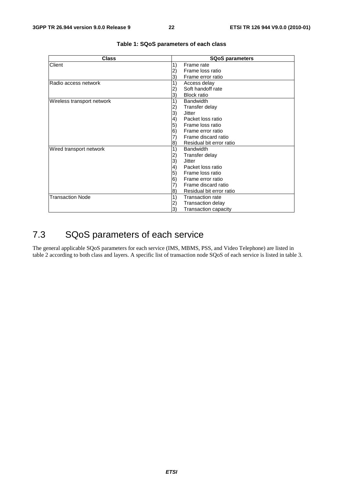| <b>Class</b>               | <b>SQoS parameters</b>          |  |  |  |
|----------------------------|---------------------------------|--|--|--|
| Client                     | 1)<br>Frame rate                |  |  |  |
|                            | Frame loss ratio<br>2)          |  |  |  |
|                            | Frame error ratio<br>3)         |  |  |  |
| lRadio access network      | 1)<br>Access delay              |  |  |  |
|                            | Soft handoff rate               |  |  |  |
|                            | <b>Block ratio</b><br>3)        |  |  |  |
| Wireless transport network | 1)<br><b>Bandwidth</b>          |  |  |  |
|                            | Transfer delay<br>2)            |  |  |  |
|                            | 3)<br>Jitter                    |  |  |  |
|                            | Packet loss ratio<br>(4         |  |  |  |
|                            | 5)<br>Frame loss ratio          |  |  |  |
|                            | $\vert 6)$<br>Frame error ratio |  |  |  |
|                            | Frame discard ratio<br>7)       |  |  |  |
|                            | Residual bit error ratio<br>8)  |  |  |  |
| Wired transport network    | 1)<br><b>Bandwidth</b>          |  |  |  |
|                            | Transfer delay<br>2)            |  |  |  |
|                            | 3)<br>Jitter                    |  |  |  |
|                            | Packet loss ratio<br>(4         |  |  |  |
|                            | Frame loss ratio<br>5)          |  |  |  |
|                            | 6)<br>Frame error ratio         |  |  |  |
|                            | Frame discard ratio<br>7)       |  |  |  |
|                            | Residual bit error ratio<br>8)  |  |  |  |
| <b>Transaction Node</b>    | 1)<br><b>Transaction rate</b>   |  |  |  |
|                            | Transaction delay<br>2)         |  |  |  |
|                            | 3)<br>Transaction capacity      |  |  |  |

#### **Table 1: SQoS parameters of each class**

# 7.3 SQoS parameters of each service

The general applicable SQoS parameters for each service (IMS, MBMS, PSS, and Video Telephone) are listed in table 2 according to both class and layers. A specific list of transaction node SQoS of each service is listed in table 3.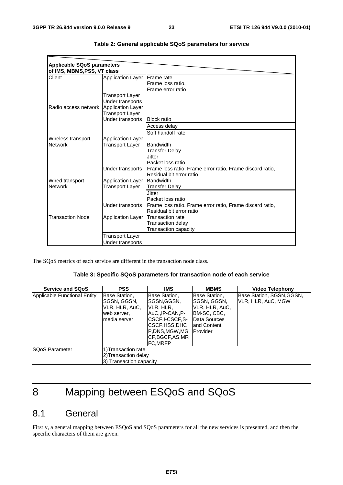| <b>Applicable SQoS parameters</b> |                          |                                                           |
|-----------------------------------|--------------------------|-----------------------------------------------------------|
| of IMS, MBMS, PSS, VT class       |                          |                                                           |
| Client                            | <b>Application Layer</b> | <b>IFrame</b> rate                                        |
|                                   |                          | Frame loss ratio,                                         |
|                                   |                          | Frame error ratio                                         |
|                                   | Transport Layer          |                                                           |
|                                   | Under transports         |                                                           |
| Radio access network              | <b>Application Layer</b> |                                                           |
|                                   | <b>Transport Layer</b>   |                                                           |
|                                   | Under transports         | <b>Block ratio</b>                                        |
|                                   |                          | Access delay                                              |
|                                   |                          | Soft handoff rate                                         |
| Wireless transport                | <b>Application Layer</b> |                                                           |
| <b>Network</b>                    | Transport Layer          | <b>Bandwidth</b>                                          |
|                                   |                          | <b>Transfer Delay</b>                                     |
|                                   |                          | Jitter                                                    |
|                                   |                          | Packet loss ratio                                         |
|                                   | Under transports         | Frame loss ratio, Frame error ratio, Frame discard ratio, |
|                                   |                          | Residual bit error ratio                                  |
| Wired transport                   | <b>Application Layer</b> | Bandwidth                                                 |
| <b>Network</b>                    | Transport Layer          | <b>Transfer Delay</b>                                     |
|                                   |                          | <b>Jitter</b>                                             |
|                                   |                          | Packet loss ratio                                         |
|                                   | Under transports         | Frame loss ratio, Frame error ratio, Frame discard ratio, |
|                                   |                          | Residual bit error ratio                                  |
| <b>Transaction Node</b>           | <b>Application Layer</b> | lTransaction rate                                         |
|                                   |                          | Transaction delay                                         |
|                                   |                          | Transaction capacity                                      |
|                                   | Transport Layer          |                                                           |
|                                   | Under transports         |                                                           |

| Table 2: General applicable SQoS parameters for service |  |  |  |  |
|---------------------------------------------------------|--|--|--|--|
|---------------------------------------------------------|--|--|--|--|

The SQoS metrics of each service are different in the transaction node class.

#### **Table 3: Specific SQoS parameters for transaction node of each service**

| <b>Service and SQoS</b>      | <b>PSS</b>                                                                     | <b>IMS</b>                                                                                                                                               | <b>MBMS</b>                                                                                               | <b>Video Telephony</b>                         |
|------------------------------|--------------------------------------------------------------------------------|----------------------------------------------------------------------------------------------------------------------------------------------------------|-----------------------------------------------------------------------------------------------------------|------------------------------------------------|
| Applicable Functional Entity | Base Station,<br>SGSN, GGSN,<br>VLR, HLR, AuC,<br>web server,<br>Imedia server | Base Station,<br><b>ISGSN,GGSN,</b><br>VLR, HLR,<br>AuCIP-CAN.P-<br> CSCF.I-CSCF.S-<br> CSCF,HSS,DHC<br>P.DNS.MGW.MG<br>ICF.BGCF.AS.MR<br><b>FC,MRFP</b> | Base Station,<br>SGSN, GGSN,<br>VLR, HLR, AuC,<br>BM-SC, CBC,<br>Data Sources<br>land Content<br>Provider | Base Station, SGSN,GGSN,<br>VLR, HLR, AuC, MGW |
| <b>SQoS Parameter</b>        | 1) Transaction rate<br>2)Transaction delay<br>3) Transaction capacity          |                                                                                                                                                          |                                                                                                           |                                                |

# 8 Mapping between ESQoS and SQoS

# 8.1 General

Firstly, a general mapping between ESQoS and SQoS parameters for all the new services is presented, and then the specific characters of them are given.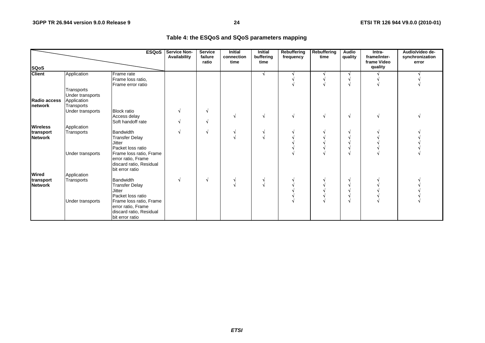#### **Table 4: the ESQoS and SQoS parameters mapping**

| <b>ESQoS</b>                    |                                                             |                                                                                             | Service Non-<br>Availability | <b>Service</b><br>failure<br>ratio | <b>Initial</b><br>connection<br>time | <b>Initial</b><br>buffering<br>time | Rebuffering<br>frequency | Rebuffering<br>time | <b>Audio</b><br>quality | Intra-<br>frame/inter-<br>frame Video | Audio/video de-<br>synchronization<br>error |
|---------------------------------|-------------------------------------------------------------|---------------------------------------------------------------------------------------------|------------------------------|------------------------------------|--------------------------------------|-------------------------------------|--------------------------|---------------------|-------------------------|---------------------------------------|---------------------------------------------|
| <b>SQoS</b>                     |                                                             |                                                                                             |                              |                                    |                                      |                                     |                          |                     |                         | quality                               |                                             |
| <b>Client</b>                   | Application                                                 | Frame rate<br>Frame loss ratio,<br>Frame error ratio                                        |                              |                                    |                                      |                                     |                          |                     |                         |                                       |                                             |
| Radio access<br><b>Inetwork</b> | Transports<br>Under transports<br>Application<br>Transports |                                                                                             |                              |                                    |                                      |                                     |                          |                     |                         |                                       |                                             |
|                                 | Under transports                                            | <b>Block ratio</b><br>Access delay<br>Soft handoff rate                                     |                              |                                    |                                      |                                     |                          |                     | N                       |                                       |                                             |
| <b>Wireless</b>                 | Application                                                 |                                                                                             |                              |                                    |                                      |                                     |                          |                     |                         |                                       |                                             |
| transport<br><b>Network</b>     | Transports                                                  | <b>Bandwidth</b><br><b>Transfer Delay</b><br><b>Jitter</b><br>Packet loss ratio             |                              |                                    |                                      |                                     |                          |                     |                         |                                       |                                             |
|                                 | Under transports                                            | Frame loss ratio, Frame<br>error ratio, Frame<br>discard ratio, Residual<br>bit error ratio |                              |                                    |                                      |                                     |                          |                     |                         |                                       |                                             |
| <b>Wired</b>                    | Application                                                 |                                                                                             |                              |                                    |                                      |                                     |                          |                     |                         |                                       |                                             |
| transport<br><b>Network</b>     | Transports                                                  | <b>Bandwidth</b><br><b>Transfer Delay</b><br><b>Jitter</b><br>Packet loss ratio             |                              |                                    |                                      |                                     |                          |                     |                         |                                       |                                             |
|                                 | Under transports                                            | Frame loss ratio, Frame<br>error ratio, Frame<br>discard ratio, Residual<br>bit error ratio |                              |                                    |                                      |                                     |                          |                     |                         |                                       |                                             |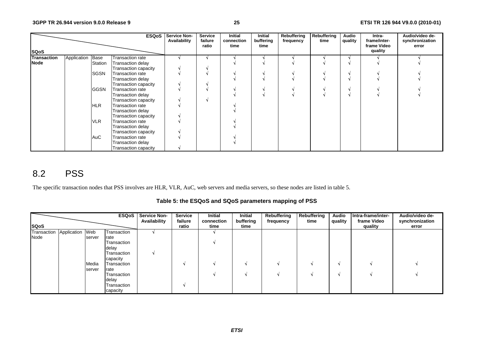|                    |             |             | <b>ESQoS</b>                | <b>Service Non-</b><br>Availability | Service<br>failure<br>ratio | <b>Initial</b><br>connection<br>time | Initial<br>buffering<br>time | Rebuffering<br>frequency | Rebuffering<br>time | Audio<br>quality | Intra-<br>frame/inter-<br>frame Video | Audio/video de-<br>synchronization<br>error |
|--------------------|-------------|-------------|-----------------------------|-------------------------------------|-----------------------------|--------------------------------------|------------------------------|--------------------------|---------------------|------------------|---------------------------------------|---------------------------------------------|
| <b>SQoS</b>        |             |             |                             |                                     |                             |                                      |                              |                          |                     |                  | quality                               |                                             |
| <b>Transaction</b> | Application | Base        | Transaction rate            |                                     |                             |                                      |                              |                          |                     |                  |                                       |                                             |
| Node               |             | Station     | Transaction delay           |                                     |                             |                                      |                              |                          |                     |                  |                                       |                                             |
|                    |             |             | Transaction capacity        |                                     |                             |                                      |                              |                          |                     |                  |                                       |                                             |
|                    |             | SGSN        | <b>Transaction rate</b>     |                                     |                             |                                      |                              |                          |                     |                  |                                       |                                             |
|                    |             |             | Transaction delay           |                                     |                             |                                      |                              |                          |                     |                  |                                       |                                             |
|                    |             |             | Transaction capacity        |                                     |                             |                                      |                              |                          |                     |                  |                                       |                                             |
|                    |             | <b>GGSN</b> | <b>Transaction rate</b>     |                                     |                             |                                      |                              |                          |                     |                  |                                       |                                             |
|                    |             |             | Transaction delay           |                                     |                             |                                      |                              |                          |                     |                  |                                       |                                             |
|                    |             |             | Transaction capacity        |                                     |                             |                                      |                              |                          |                     |                  |                                       |                                             |
|                    |             | <b>HLR</b>  | <b>Transaction rate</b>     |                                     |                             |                                      |                              |                          |                     |                  |                                       |                                             |
|                    |             |             | Transaction delay           |                                     |                             |                                      |                              |                          |                     |                  |                                       |                                             |
|                    |             |             | Transaction capacity        |                                     |                             |                                      |                              |                          |                     |                  |                                       |                                             |
|                    |             | <b>VLR</b>  | <b>Transaction rate</b>     |                                     |                             |                                      |                              |                          |                     |                  |                                       |                                             |
|                    |             |             | Transaction delay           |                                     |                             |                                      |                              |                          |                     |                  |                                       |                                             |
|                    |             |             | Transaction capacity        |                                     |                             |                                      |                              |                          |                     |                  |                                       |                                             |
|                    |             | AuC         | <b>Transaction rate</b>     |                                     |                             |                                      |                              |                          |                     |                  |                                       |                                             |
|                    |             |             | Transaction delay           |                                     |                             |                                      |                              |                          |                     |                  |                                       |                                             |
|                    |             |             | <b>Transaction capacity</b> |                                     |                             |                                      |                              |                          |                     |                  |                                       |                                             |

# 8.2 PSS

The specific transaction nodes that PSS involves are HLR, VLR, AuC, web servers and media servers, so these nodes are listed in table 5.

**Table 5: the ESQoS and SQoS parameters mapping of PSS** 

|                             |        |             | <b>ESQoS</b> Service Non-<br>Availability | <b>Service</b><br>failure | Initial<br>connection | Initial<br>buffering | Rebuffering<br>frequency | Rebuffering<br>time | <b>Audio</b><br>quality | Intra-frame/inter-<br>frame Video | Audio/video de-<br>synchronization |
|-----------------------------|--------|-------------|-------------------------------------------|---------------------------|-----------------------|----------------------|--------------------------|---------------------|-------------------------|-----------------------------------|------------------------------------|
| <b>SQoS</b>                 |        |             |                                           | ratio                     | time                  | time                 |                          |                     |                         | quality                           | error                              |
| Transaction Application Web |        | Transaction |                                           |                           |                       |                      |                          |                     |                         |                                   |                                    |
| Node                        | server | rate        |                                           |                           |                       |                      |                          |                     |                         |                                   |                                    |
|                             |        | Transaction |                                           |                           |                       |                      |                          |                     |                         |                                   |                                    |
|                             |        | delay       |                                           |                           |                       |                      |                          |                     |                         |                                   |                                    |
|                             |        | Transaction |                                           |                           |                       |                      |                          |                     |                         |                                   |                                    |
|                             |        | capacity    |                                           |                           |                       |                      |                          |                     |                         |                                   |                                    |
|                             | Media  | Transaction |                                           |                           |                       |                      |                          |                     |                         |                                   |                                    |
|                             | server | rate        |                                           |                           |                       |                      |                          |                     |                         |                                   |                                    |
|                             |        | Transaction |                                           |                           |                       |                      |                          |                     |                         |                                   |                                    |
|                             |        | delay       |                                           |                           |                       |                      |                          |                     |                         |                                   |                                    |
|                             |        | Transaction |                                           |                           |                       |                      |                          |                     |                         |                                   |                                    |
|                             |        | capacity    |                                           |                           |                       |                      |                          |                     |                         |                                   |                                    |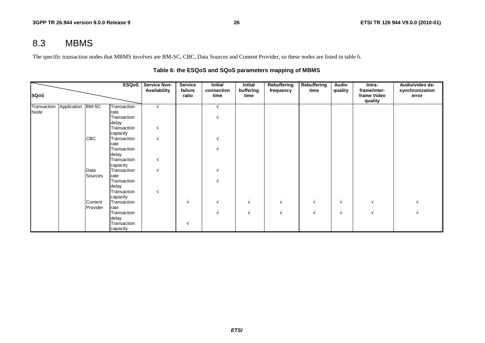# 8.3 MBMS

The specific transaction nodes that MBMS involves are BM-SC, CBC, Data Sources and Content Provider, so these nodes are listed in table 6.

|             |                               |            | ESQoS               | <b>Service Non-</b> | <b>Service</b>   | Initial            | Initial           | Rebuffering | <b>Rebuffering</b> | Audio   | Intra-                                 | Audio/video de-          |
|-------------|-------------------------------|------------|---------------------|---------------------|------------------|--------------------|-------------------|-------------|--------------------|---------|----------------------------------------|--------------------------|
| <b>SQoS</b> |                               |            |                     | Availability        | failure<br>ratio | connection<br>time | buffering<br>time | frequency   | time               | quality | frame/inter-<br>frame Video<br>quality | synchronization<br>error |
|             | Transaction Application BM-SC |            | Transaction         |                     |                  |                    |                   |             |                    |         |                                        |                          |
| Node        |                               |            | rate                |                     |                  |                    |                   |             |                    |         |                                        |                          |
|             |                               |            | Transaction         |                     |                  |                    |                   |             |                    |         |                                        |                          |
|             |                               |            | delay               |                     |                  |                    |                   |             |                    |         |                                        |                          |
|             |                               |            | Transaction         |                     |                  |                    |                   |             |                    |         |                                        |                          |
|             |                               |            | capacity            |                     |                  |                    |                   |             |                    |         |                                        |                          |
|             |                               | <b>CBC</b> | Transaction<br>rate |                     |                  |                    |                   |             |                    |         |                                        |                          |
|             |                               |            | Transaction         |                     |                  |                    |                   |             |                    |         |                                        |                          |
|             |                               |            | delay               |                     |                  |                    |                   |             |                    |         |                                        |                          |
|             |                               |            | Transaction         |                     |                  |                    |                   |             |                    |         |                                        |                          |
|             |                               |            | capacity            |                     |                  |                    |                   |             |                    |         |                                        |                          |
|             |                               | Data       | Transaction         |                     |                  |                    |                   |             |                    |         |                                        |                          |
|             |                               | Sources    | rate                |                     |                  |                    |                   |             |                    |         |                                        |                          |
|             |                               |            | Transaction         |                     |                  |                    |                   |             |                    |         |                                        |                          |
|             |                               |            | delay               |                     |                  |                    |                   |             |                    |         |                                        |                          |
|             |                               |            | Transaction         |                     |                  |                    |                   |             |                    |         |                                        |                          |
|             |                               |            | capacity            |                     |                  |                    |                   |             |                    |         |                                        |                          |
|             |                               | Content    | Transaction         |                     | N                |                    | N                 | N           |                    | N       |                                        |                          |
|             |                               | Provider   | rate                |                     |                  |                    |                   |             |                    |         |                                        |                          |
|             |                               |            | Transaction         |                     |                  |                    | N                 | M           |                    | N       |                                        |                          |
|             |                               |            | delay               |                     |                  |                    |                   |             |                    |         |                                        |                          |
|             |                               |            | Transaction         |                     | N                |                    |                   |             |                    |         |                                        |                          |
|             |                               |            | capacity            |                     |                  |                    |                   |             |                    |         |                                        |                          |

#### **Table 6: the ESQoS and SQoS parameters mapping of MBMS**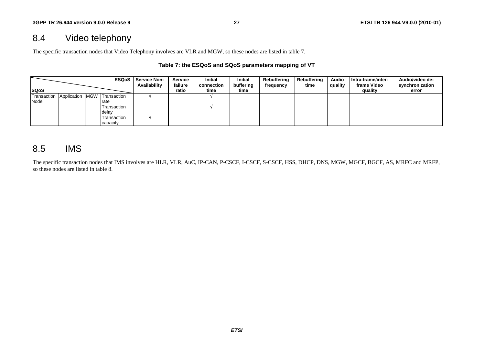# 8.4 Video telephony

The specific transaction nodes that Video Telephony involves are VLR and MGW, so these nodes are listed in table 7.

#### **Table 7: the ESQoS and SQoS parameters mapping of VT**

|                                         |  | <b>ESQoS</b> | <b>Service Non-</b><br>Availability | Service<br>failure | <b>Initial</b><br>connection | <b>Initial</b><br>buffering | Rebuffering<br>frequency | <b>Rebuffering</b><br>time | <b>Audio</b><br>quality | Intra-frame/inter-<br>frame Video | Audio/video de-<br>synchronization |
|-----------------------------------------|--|--------------|-------------------------------------|--------------------|------------------------------|-----------------------------|--------------------------|----------------------------|-------------------------|-----------------------------------|------------------------------------|
| <b>ISQoS</b>                            |  |              |                                     | ratio              | time                         | time                        |                          |                            |                         | quality                           | error                              |
| Transaction Application MGW Transaction |  |              |                                     |                    |                              |                             |                          |                            |                         |                                   |                                    |
| Node                                    |  | rate         |                                     |                    |                              |                             |                          |                            |                         |                                   |                                    |
|                                         |  | Transaction  |                                     |                    |                              |                             |                          |                            |                         |                                   |                                    |
|                                         |  | delay        |                                     |                    |                              |                             |                          |                            |                         |                                   |                                    |
|                                         |  | Transaction  |                                     |                    |                              |                             |                          |                            |                         |                                   |                                    |
|                                         |  | capacity     |                                     |                    |                              |                             |                          |                            |                         |                                   |                                    |

## 8.5 IMS

The specific transaction nodes that IMS involves are HLR, VLR, AuC, IP-CAN, P-CSCF, I-CSCF, S-CSCF, HSS, DHCP, DNS, MGW, MGCF, BGCF, AS, MRFC and MRFP, so these nodes are listed in table 8.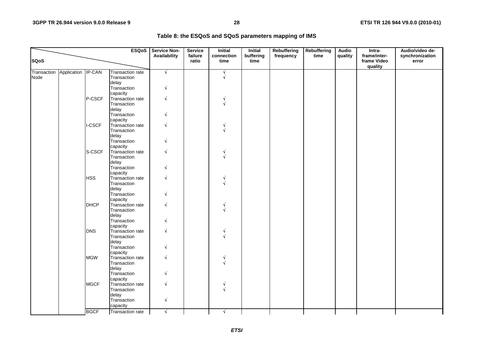|             |                                |               |                                                 | <b>ESQoS</b>   Service Non-<br>Availability | <b>Service</b><br>failure | <b>Initial</b>     | <b>Initial</b>    | Rebuffering | <b>Rebuffering</b> | <b>Audio</b> | Intra-<br>frame/inter- | Audio/video de-          |
|-------------|--------------------------------|---------------|-------------------------------------------------|---------------------------------------------|---------------------------|--------------------|-------------------|-------------|--------------------|--------------|------------------------|--------------------------|
| <b>SQoS</b> |                                |               |                                                 |                                             | ratio                     | connection<br>time | buffering<br>time | frequency   | time               | quality      | frame Video<br>quality | synchronization<br>error |
| Node        | Transaction Application IP-CAN |               | <b>Transaction rate</b><br>Transaction<br>delay | $\sqrt{}$                                   |                           | N                  |                   |             |                    |              |                        |                          |
|             |                                |               | Transaction<br>capacity                         | V                                           |                           |                    |                   |             |                    |              |                        |                          |
|             |                                | P-CSCF        | Transaction rate<br>Transaction<br>delay        | V                                           |                           |                    |                   |             |                    |              |                        |                          |
|             |                                |               | Transaction<br>capacity                         |                                             |                           |                    |                   |             |                    |              |                        |                          |
|             |                                | <b>I-CSCF</b> | Transaction rate<br>Transaction<br>delay        | $\sqrt{ }$                                  |                           |                    |                   |             |                    |              |                        |                          |
|             |                                |               | Transaction<br>capacity                         |                                             |                           |                    |                   |             |                    |              |                        |                          |
|             |                                | S-CSCF        | Transaction rate<br>Transaction<br>delay        |                                             |                           |                    |                   |             |                    |              |                        |                          |
|             |                                |               | Transaction<br>capacity                         |                                             |                           |                    |                   |             |                    |              |                        |                          |
|             |                                | <b>HSS</b>    | Transaction rate<br>Transaction<br>delay        | V                                           |                           |                    |                   |             |                    |              |                        |                          |
|             |                                | <b>DHCP</b>   | Transaction<br>capacity<br>Transaction rate     | $\sqrt{}$                                   |                           |                    |                   |             |                    |              |                        |                          |
|             |                                |               | Transaction<br>delay<br>Transaction             |                                             |                           |                    |                   |             |                    |              |                        |                          |
|             |                                | <b>DNS</b>    | capacity<br>Transaction rate                    |                                             |                           |                    |                   |             |                    |              |                        |                          |
|             |                                |               | Transaction<br>delay                            |                                             |                           |                    |                   |             |                    |              |                        |                          |
|             |                                | <b>MGW</b>    | Transaction<br>capacity<br>Transaction rate     | N                                           |                           |                    |                   |             |                    |              |                        |                          |
|             |                                |               | Transaction<br>delay                            |                                             |                           |                    |                   |             |                    |              |                        |                          |
|             |                                |               | Transaction<br>capacity                         |                                             |                           |                    |                   |             |                    |              |                        |                          |
|             |                                | <b>MGCF</b>   | Transaction rate<br>Transaction<br>delay        | $\sqrt{}$                                   |                           |                    |                   |             |                    |              |                        |                          |
|             |                                |               | Transaction<br>capacity                         | $\sqrt{}$                                   |                           |                    |                   |             |                    |              |                        |                          |
|             |                                | <b>BGCF</b>   | Transaction rate                                | N.                                          |                           | N                  |                   |             |                    |              |                        |                          |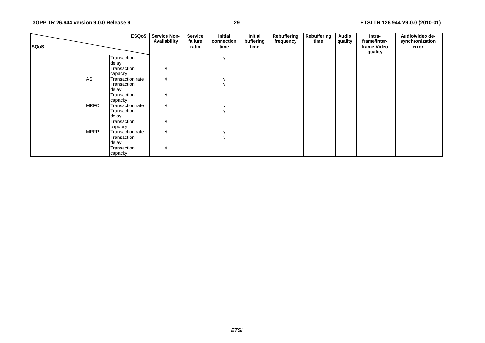| <b>SQoS</b> |             | <b>ESQoS</b>            | <b>Service Non-</b><br>Availability | <b>Service</b><br>failure<br>ratio | <b>Initial</b><br>connection<br>time | <b>Initial</b><br>buffering<br>time | Rebuffering<br>frequency | Rebuffering<br>time | <b>Audio</b><br>quality | Intra-<br>frame/inter-<br>frame Video<br>quality | Audio/video de-<br>synchronization<br>error |
|-------------|-------------|-------------------------|-------------------------------------|------------------------------------|--------------------------------------|-------------------------------------|--------------------------|---------------------|-------------------------|--------------------------------------------------|---------------------------------------------|
|             |             | Transaction             |                                     |                                    |                                      |                                     |                          |                     |                         |                                                  |                                             |
|             |             | delay                   |                                     |                                    |                                      |                                     |                          |                     |                         |                                                  |                                             |
|             |             | Transaction             | N                                   |                                    |                                      |                                     |                          |                     |                         |                                                  |                                             |
|             |             | capacity                |                                     |                                    |                                      |                                     |                          |                     |                         |                                                  |                                             |
|             | AS          | Transaction rate        |                                     |                                    |                                      |                                     |                          |                     |                         |                                                  |                                             |
|             |             | Transaction             |                                     |                                    |                                      |                                     |                          |                     |                         |                                                  |                                             |
|             |             | delay                   |                                     |                                    |                                      |                                     |                          |                     |                         |                                                  |                                             |
|             |             | Transaction             | N                                   |                                    |                                      |                                     |                          |                     |                         |                                                  |                                             |
|             |             | capacity                |                                     |                                    |                                      |                                     |                          |                     |                         |                                                  |                                             |
|             | <b>MRFC</b> | <b>Transaction rate</b> |                                     |                                    |                                      |                                     |                          |                     |                         |                                                  |                                             |
|             |             | Transaction             |                                     |                                    |                                      |                                     |                          |                     |                         |                                                  |                                             |
|             |             | delay                   |                                     |                                    |                                      |                                     |                          |                     |                         |                                                  |                                             |
|             |             | Transaction             |                                     |                                    |                                      |                                     |                          |                     |                         |                                                  |                                             |
|             |             | capacity                |                                     |                                    |                                      |                                     |                          |                     |                         |                                                  |                                             |
|             | <b>MRFP</b> | Transaction rate        | A.                                  |                                    |                                      |                                     |                          |                     |                         |                                                  |                                             |
|             |             | Transaction             |                                     |                                    |                                      |                                     |                          |                     |                         |                                                  |                                             |
|             |             | delay                   |                                     |                                    |                                      |                                     |                          |                     |                         |                                                  |                                             |
|             |             | Transaction             |                                     |                                    |                                      |                                     |                          |                     |                         |                                                  |                                             |
|             |             | capacity                |                                     |                                    |                                      |                                     |                          |                     |                         |                                                  |                                             |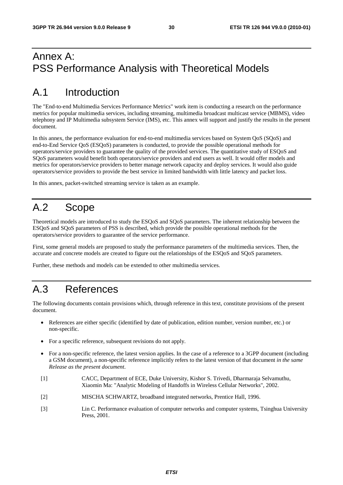# Annex A: PSS Performance Analysis with Theoretical Models

# A.1 Introduction

The "End-to-end Multimedia Services Performance Metrics" work item is conducting a research on the performance metrics for popular multimedia services, including streaming, multimedia broadcast multicast service (MBMS), video telephony and IP Multimedia subsystem Service (IMS), etc. This annex will support and justify the results in the present document.

In this annex, the performance evaluation for end-to-end multimedia services based on System QoS (SQoS) and end-to-End Service QoS (ESQoS) parameters is conducted, to provide the possible operational methods for operators/service providers to guarantee the quality of the provided services. The quantitative study of ESQoS and SQoS parameters would benefit both operators/service providers and end users as well. It would offer models and metrics for operators/service providers to better manage network capacity and deploy services. It would also guide operators/service providers to provide the best service in limited bandwidth with little latency and packet loss.

In this annex, packet-switched streaming service is taken as an example.

# A.2 Scope

Theoretical models are introduced to study the ESQoS and SQoS parameters. The inherent relationship between the ESQoS and SQoS parameters of PSS is described, which provide the possible operational methods for the operators/service providers to guarantee of the service performance.

First, some general models are proposed to study the performance parameters of the multimedia services. Then, the accurate and concrete models are created to figure out the relationships of the ESQoS and SQoS parameters.

Further, these methods and models can be extended to other multimedia services.

# A.3 References

The following documents contain provisions which, through reference in this text, constitute provisions of the present document.

- References are either specific (identified by date of publication, edition number, version number, etc.) or non-specific.
- For a specific reference, subsequent revisions do not apply.
- For a non-specific reference, the latest version applies. In the case of a reference to a 3GPP document (including a GSM document), a non-specific reference implicitly refers to the latest version of that document *in the same Release as the present document*.
- [1] CACC, Department of ECE, Duke University, Kishor S. Trivedi, Dharmaraja Selvamuthu, Xiaomin Ma: "Analytic Modeling of Handoffs in Wireless Cellular Networks", 2002.
- [2] MISCHA SCHWARTZ, broadband integrated networks, Prentice Hall, 1996.
- [3] Lin C. Performance evaluation of computer networks and computer systems, Tsinghua University Press, 2001.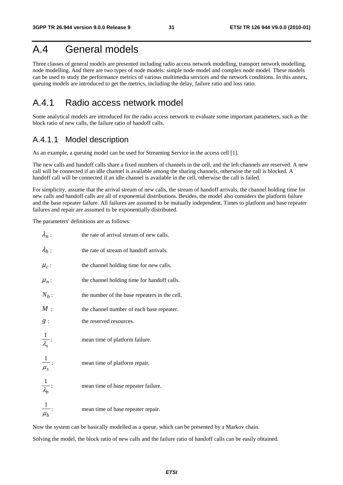# A.4 General models

Three classes of general models are presented including radio access network modelling, transport network modelling, node modelling. And there are two types of node models: simple node model and complex node model. These models can be used to study the performance metrics of various multimedia services and the network conditions. In this annex, queuing models are introduced to get the metrics, including the delay, failure ratio and loss ratio.

## A.4.1 Radio access network model

Some analytical models are introduced for the radio access network to evaluate some important parameters, such as the block ratio of new calls, the failure ratio of handoff calls.

### A.4.1.1 Model description

As an example, a queuing model can be used for Streaming Service in the access cell [1].

The new calls and handoff calls share a fixed numbers of channels in the cell, and the left channels are reserved. A new call will be connected if an idle channel is available among the sharing channels, otherwise the call is blocked. A handoff call will be connected if an idle channel is available in the cell, otherwise the call is failed.

For simplicity, assume that the arrival stream of new calls, the stream of handoff arrivals, the channel holding time for new calls and handoff calls are all of exponential distributions. Besides, the model also considers the platform failure and the base repeater failure. All failures are assumed to be mutually independent. Times to platform and base repeater failures and repair are assumed to be exponentially distributed.

The parameters' definitions are as follows:

| $\lambda_n$ :                         | the rate of arrival stream of new calls.      |
|---------------------------------------|-----------------------------------------------|
| $\lambda_h$ :                         | the rate of stream of handoff arrivals.       |
| $\mu_c$ :                             | the channel holding time for new calls.       |
| $\mu_n$ :                             | the channel holding time for handoff calls.   |
| $N_b$ :                               | the number of the base repeaters in the cell. |
| M:                                    | the channel number of each base repeater.     |
| g:                                    | the reserved resources.                       |
| $\frac{1}{\lambda_s}$ :               | mean time of platform failure.                |
| $\frac{1}{\mu_s}$ :                   | mean time of platform repair.                 |
| $\frac{1}{\lambda_b}$                 | mean time of base repeater failure.           |
| $\vert 1 \vert$<br>$\overline{\mu_b}$ | mean time of base repeater repair.            |

Now the system can be basically modelled as a queue, which can be presented by a Markov chain.

Solving the model, the block ratio of new calls and the failure ratio of handoff calls can be easily obtained.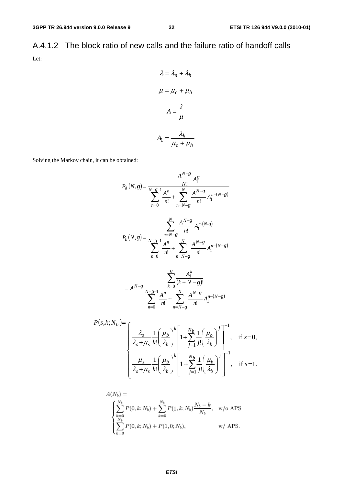A.4.1.2 The block ratio of new calls and the failure ratio of handoff calls Let:

$$
\lambda = \lambda_n + \lambda_h
$$

$$
\mu = \mu_c + \mu_h
$$

$$
A = \frac{\lambda}{\mu}
$$

$$
A_1 = \frac{\lambda_h}{\mu_c + \mu_h}
$$

Solving the Markov chain, it can be obtained:

$$
P_d(N,g) = \frac{A^{N-g}}{N!} A_1^g
$$
  
\n
$$
P_d(N,g) = \frac{A^n}{N!} A_1^m + \sum_{n=N-g}^{N} \frac{A^{N-g}}{n!} A_1^{n-(N-g)}
$$
  
\n
$$
P_b(N,g) = \frac{\sum_{n=N-g}^{N} A^{N-g}}{N!} A_1^{n-(N-g)}
$$
  
\n
$$
P_b(N,g) = \frac{A^{N-g}}{N!} A_1^m + \sum_{n=N-g}^{N} \frac{A^{N-g}}{n!} A_1^{n-(N-g)}
$$
  
\n
$$
= A^{N-g} \frac{\sum_{k=0}^{g} \frac{A_1^k}{(k+N-g)!}}{n!} A_1^{n-(N-g)}
$$
  
\n
$$
P(s,k;N_b) = \frac{A_s}{N!} A_s^m + \sum_{n=N-g}^{N} \frac{A^{N-g}}{n!} A_1^{n-(N-g)}
$$
  
\n
$$
P(s,k;N_b) = \frac{A_s}{N!} A_s^m + \sum_{n=N-g}^{N} \frac{A^{N-g}}{n!} A_1^{n-(N-g)}
$$
  
\n
$$
P(s,k;N_b) = \frac{A_s}{N!} A_s^m + \sum_{n=N-g}^{N} \frac{A^{N-g}}{n!} A_1^{n-(N-g)}
$$
  
\n
$$
P(s,k;N_b) = \frac{A_s}{N!} A_s^m + \sum_{n=N-g}^{N} \frac{A^{N-g}}{n!} A_1^{n-(N-g)}
$$
  
\n
$$
P(s,k;N_b) = \frac{A_s}{N!} A_1^m + \sum_{n=N-g}^{N} \frac{A^{N-g}}{n!} A_1^{n-(N-g)}
$$

$$
\left\{\n\begin{array}{c}\n\overline{\lambda_s + \mu_s} & \overline{k!} \left( \overline{\lambda_b} \right) \left[ \frac{1 + \sum_{j=1}^N j!} \overline{\lambda_b} \right] \right.\n\end{array}\n\right\}^{n} \cdot \n\begin{array}{c}\n\overline{\lambda_s - \lambda_s} \\
\frac{\mu_s}{\lambda_s + \mu_s} & \overline{k!} \left( \frac{\mu_b}{\lambda_b} \right)^k \left[ 1 + \sum_{j=1}^N \frac{1}{j!} \left( \frac{\mu_b}{\lambda_b} \right)^j \right]^{-1}, \quad \text{if } s = 1.\n\end{array}
$$

$$
A(N_b) =
$$
\n
$$
\begin{cases}\n\sum_{k=0}^{N_b} P(0, k; N_b) + \sum_{k=0}^{N_b} P(1, k; N_b) \frac{N_b - k}{N_b}, & w/o \text{ APS} \\
\sum_{k=0}^{N_b} P(0, k; N_b) + P(1, 0; N_b), & w/APS.\n\end{cases}
$$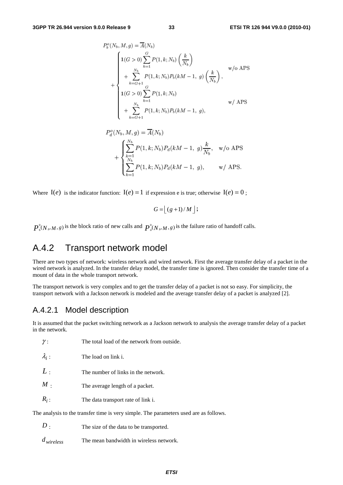$$
P_b^o(N_b, M, g) = \overline{A}(N_b)
$$
  
\n
$$
1(G > 0) \sum_{k=1}^G P(1, k; N_b) \left(\frac{k}{N_b}\right)
$$
  
\n
$$
+ \sum_{k=G+1}^{N_b} P(1, k; N_b) P_b(kM - 1, g) \left(\frac{k}{N_b}\right),
$$
  
\n
$$
1(G > 0) \sum_{k=1}^G P(1, k; N_b)
$$
  
\n
$$
+ \sum_{k=G+1}^{N_b} P(1, k; N_b) P_b(kM - 1, g),
$$
  
\n
$$
w / APS
$$

$$
P_d^o(N_b, M, g) = \overline{A}(N_b)
$$
  
+ 
$$
\begin{cases} \sum_{k=1}^{N_b} P(1, k; N_b) P_d(kM - 1, g) \frac{k}{N_b}, & \text{w/o APS} \\ \sum_{k=1}^{N_b} P(1, k; N_b) P_d(kM - 1, g), & \text{w/ APS.} \end{cases}
$$

Where  $I(e)$  is the indicator function:  $I(e) = 1$  if expression e is true; otherwise  $I(e) = 0$ ;

$$
G = \lfloor (g+1)/M \rfloor;
$$

0  $P_b^0(N_b, M, g)$  is the block ratio of new calls and  $P_a^0(N_b, M, g)$  is the failure ratio of handoff calls.

## A.4.2 Transport network model

There are two types of network: wireless network and wired network. First the average transfer delay of a packet in the wired network is analyzed. In the transfer delay model, the transfer time is ignored. Then consider the transfer time of a mount of data in the whole transport network.

The transport network is very complex and to get the transfer delay of a packet is not so easy. For simplicity, the transport network with a Jackson network is modeled and the average transfer delay of a packet is analyzed [2].

## A.4.2.1 Model description

It is assumed that the packet switching network as a Jackson network to analysis the average transfer delay of a packet in the network.

| ,,                                                                                    | THE total foad of the hetwork from outside. |  |  |  |  |  |
|---------------------------------------------------------------------------------------|---------------------------------------------|--|--|--|--|--|
| $\lambda_i$ :                                                                         | The load on link i.                         |  |  |  |  |  |
| L:                                                                                    | The number of links in the network.         |  |  |  |  |  |
| $M$ .                                                                                 | The average length of a packet.             |  |  |  |  |  |
| $R_i$ :                                                                               | The data transport rate of link i.          |  |  |  |  |  |
| The analysis to the transfer time is very simple. The parameters used are as follows. |                                             |  |  |  |  |  |

*D* : The size of the data to be transported.

γ : The total load of the network from outside.

*dwireless* The mean bandwidth in wireless network.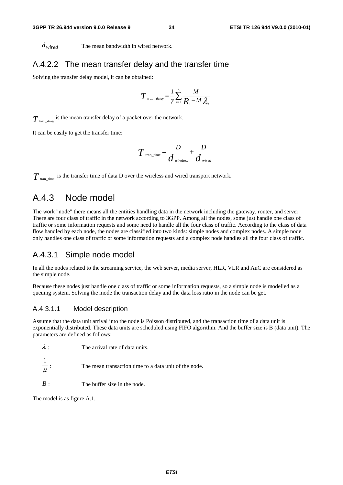*dwired* The mean bandwidth in wired network.

#### A.4.2.2 The mean transfer delay and the transfer time

Solving the transfer delay model, it can be obtained:

$$
T_{\text{tran\_delay}} = \frac{1}{\gamma} \sum_{i=1}^{L} \frac{M}{R_i - M \lambda_i}
$$

 $T_{\textit{tran\_delay}}$  is the mean transfer delay of a packet over the network.

It can be easily to get the transfer time:

$$
T_{\text{tran\_time}} = \frac{D}{d_{\text{wireless}}} + \frac{D}{d_{\text{wired}}}
$$

 $T_{\text{tran time}}$  is the transfer time of data D over the wireless and wired transport network.

#### A.4.3 Node model

The work "node" there means all the entities handling data in the network including the gateway, router, and server. There are four class of traffic in the network according to 3GPP. Among all the nodes, some just handle one class of traffic or some information requests and some need to handle all the four class of traffic. According to the class of data flow handled by each node, the nodes are classified into two kinds: simple nodes and complex nodes. A simple node only handles one class of traffic or some information requests and a complex node handles all the four class of traffic.

#### A.4.3.1 Simple node model

In all the nodes related to the streaming service, the web server, media server, HLR, VLR and AuC are considered as the simple node.

Because these nodes just handle one class of traffic or some information requests, so a simple node is modelled as a queuing system. Solving the mode the transaction delay and the data loss ratio in the node can be get.

#### A.4.3.1.1 Model description

Assume that the data unit arrival into the node is Poisson distributed, and the transaction time of a data unit is exponentially distributed. These data units are scheduled using FIFO algorithm. And the buffer size is B (data unit). The parameters are defined as follows:

| $\lambda$ . | The arrival rate of data units. |
|-------------|---------------------------------|
|             |                                 |

μ 1 The mean transaction time to a data unit of the node.

*B* : The buffer size in the node.

The model is as figure A.1.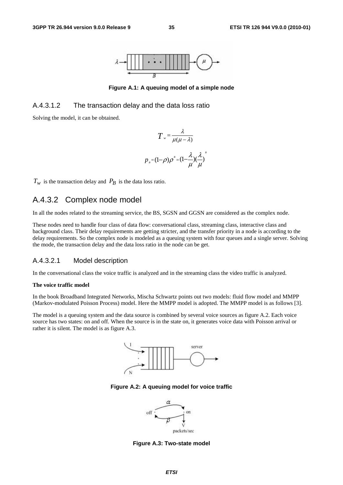

**Figure A.1: A queuing model of a simple node** 

#### A.4.3.1.2 The transaction delay and the data loss ratio

Solving the model, it can be obtained.

$$
T = \frac{\lambda}{\mu(\mu - \lambda)}
$$

$$
p_{B} = (1 - \rho)\rho^{B} = (1 - \frac{\lambda}{\mu})(\frac{\lambda}{\mu})
$$

*B*

 $T_w$  is the transaction delay and  $P_B$  is the data loss ratio.

## A.4.3.2 Complex node model

In all the nodes related to the streaming service, the BS, SGSN and GGSN are considered as the complex node.

These nodes need to handle four class of data flow: conversational class, streaming class, interactive class and background class. Their delay requirements are getting stricter, and the transfer priority in a node is according to the delay requirements. So the complex node is modeled as a queuing system with four queues and a single server. Solving the mode, the transaction delay and the data loss ratio in the node can be get.

#### A.4.3.2.1 Model description

In the conversational class the voice traffic is analyzed and in the streaming class the video traffic is analyzed.

#### **The voice traffic model**

In the book Broadband Integrated Networks, Mischa Schwartz points out two models: fluid flow model and MMPP (Markov-modulated Poisson Process) model. Here the MMPP model is adopted. The MMPP model is as follows [3].

The model is a queuing system and the data source is combined by several voice sources as figure A.2. Each voice source has two states: on and off. When the source is in the state on, it generates voice data with Poisson arrival or rather it is silent. The model is as figure A.3.



**Figure A.2: A queuing model for voice traffic** 



**Figure A.3: Two-state model**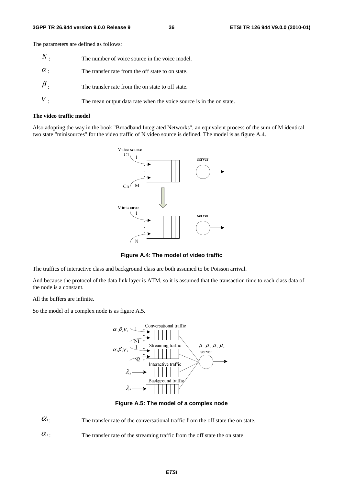The parameters are defined as follows:

| $\,N$ .    | The number of voice source in the voice model.                      |
|------------|---------------------------------------------------------------------|
| $\alpha$ . | The transfer rate from the off state to on state.                   |
| $\beta$ .  | The transfer rate from the on state to off state.                   |
|            | The mean output data rate when the voice source is in the on state. |

#### **The video traffic model**

Also adopting the way in the book "Broadband Integrated Networks", an equivalent process of the sum of M identical two state "minisources" for the video traffic of N video source is defined. The model is as figure A.4.



**Figure A.4: The model of video traffic** 

The traffics of interactive class and background class are both assumed to be Poisson arrival.

And because the protocol of the data link layer is ATM, so it is assumed that the transaction time to each class data of the node is a constant.

All the buffers are infinite.

So the model of a complex node is as figure A.5.



**Figure A.5: The model of a complex node** 

 $\alpha_1$ : The transfer rate of the conversational traffic from the off state the on state.

 $\alpha$ <sup>2</sup>: The transfer rate of the streaming traffic from the off state the on state.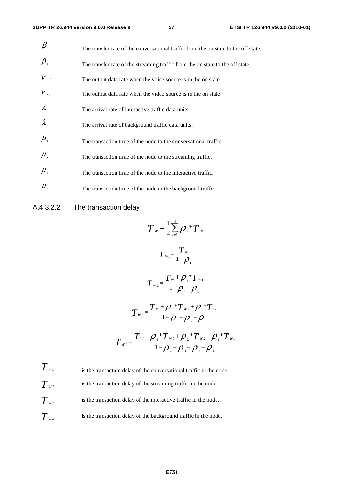| $\beta_{\scriptscriptstyle{\overline{1}}}$ . | The transfer rate of the conversational traffic from the on state to the off state. |
|----------------------------------------------|-------------------------------------------------------------------------------------|
| $\beta_{\scriptscriptstyle 2}$               | The transfer rate of the streaming traffic from the on state to the off state.      |
| $V_{\perp}$                                  | The output data rate when the voice source is in the on state                       |
| $V_{2}$ .                                    | The output data rate when the video source is in the on state                       |
| $\lambda_{3}$                                | The arrival rate of interactive traffic data units.                                 |
| $\lambda_{4}$                                | The arrival rate of background traffic data units.                                  |
| $\mu_{\scriptscriptstyle 1}$ .               | The transaction time of the node to the conversational traffic.                     |
| $\mu_{\scriptscriptstyle 2}$ .               | The transaction time of the node to the streaming traffic.                          |
| $\mu_{\scriptscriptstyle 3}$ .               | The transaction time of the node to the interactive traffic.                        |
| $\mu_{\scriptscriptstyle 4}$ .               | The transaction time of the node to the background traffic.                         |

#### A.4.3.2.2 The transaction delay

$$
T_{w} = \frac{1}{2} \sum_{i=1}^{4} \rho_{i} {}^{*}T_{si}
$$
\n
$$
T_{w1} = \frac{T_{w}}{1 - \rho_{1}}
$$
\n
$$
T_{w2} = \frac{T_{w} + \rho_{1} {}^{*}T_{w1}}{1 - \rho_{2} - \rho_{1}}
$$
\n
$$
T_{w3} = \frac{T_{w} + \rho_{2} {}^{*}T_{w2} + \rho_{1} {}^{*}T_{w1}}{1 - \rho_{3} - \rho_{2} - \rho_{1}}
$$
\n
$$
T_{w4} = \frac{T_{w} + \rho_{3} {}^{*}T_{w3} + \rho_{2} {}^{*}T_{w2} + \rho_{1} {}^{*}T_{w1}}{1 - \rho_{4} - \rho_{3} - \rho_{2} - \rho_{1}}
$$

 $T_{W1}$  is the transaction delay of the conversational traffic in the node.  $T_{W2}$  is the transaction delay of the streaming traffic in the node.  $T_{w3}$  is the transaction delay of the interactive traffic in the node.  $T_{w_4}$  is the transaction delay of the background traffic in the node.

*ETSI*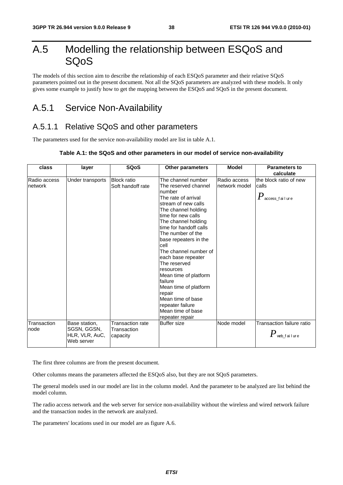# A.5 Modelling the relationship between ESQoS and SQoS

The models of this section aim to describe the relationship of each ESQoS parameter and their relative SQoS parameters pointed out in the present document. Not all the SQoS parameters are analyzed with these models. It only gives some example to justify how to get the mapping between the ESQoS and SQoS in the present document.

# A.5.1 Service Non-Availability

## A.5.1.1 Relative SQoS and other parameters

The parameters used for the service non-availability model are list in table A.1.

#### **Table A.1: the SQoS and other parameters in our model of service non-availability**

| class                   | layer                                                        | <b>SQoS</b>                                 | <b>Other parameters</b>                                                                                                                                                                                                                                                                                                                                                                                                                                                                    | <b>Model</b>                  | <b>Parameters to</b><br>calculate                               |
|-------------------------|--------------------------------------------------------------|---------------------------------------------|--------------------------------------------------------------------------------------------------------------------------------------------------------------------------------------------------------------------------------------------------------------------------------------------------------------------------------------------------------------------------------------------------------------------------------------------------------------------------------------------|-------------------------------|-----------------------------------------------------------------|
| Radio access<br>network | Under transports                                             | <b>Block ratio</b><br>Soft handoff rate     | The channel number<br>The reserved channel<br>number<br>The rate of arrival<br>stream of new calls<br>The channel holding<br>time for new calls<br>The channel holding<br>time for handoff calls<br>The number of the<br>base repeaters in the<br>cell<br>The channel number of<br>each base repeater<br>The reserved<br>resources<br>Mean time of platform<br>failure<br>Mean time of platform<br>repair<br>Mean time of base<br>repeater failure<br>Mean time of base<br>repeater repair | Radio access<br>network model | the block ratio of new<br>calls<br>$P_{\,\rm access\_fail}$ ure |
| Transaction<br>node     | Base station,<br>SGSN, GGSN,<br>HLR, VLR, AuC,<br>Web server | Transaction rate<br>Transaction<br>capacity | <b>Buffer size</b>                                                                                                                                                                                                                                                                                                                                                                                                                                                                         | Node model                    | Transaction failure ratio<br>$P$ web_failure                    |

The first three columns are from the present document.

Other columns means the parameters affected the ESQoS also, but they are not SQoS parameters.

The general models used in our model are list in the column model. And the parameter to be analyzed are list behind the model column.

The radio access network and the web server for service non-availability without the wireless and wired network failure and the transaction nodes in the network are analyzed.

The parameters' locations used in our model are as figure A.6.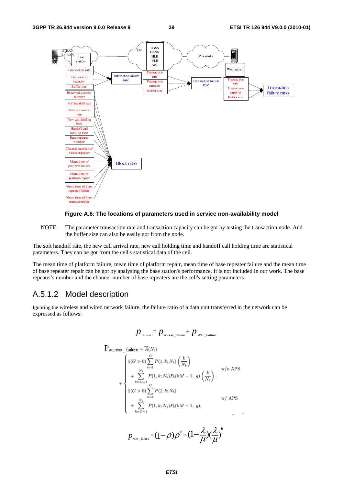



NOTE: The parameter transaction rate and transaction capacity can be got by testing the transaction node. And the buffer size can also be easily got from the node.

The soft handoff rate, the new call arrival rate, new call holding time and handoff call holding time are statistical parameters. They can be got from the cell's statistical data of the cell.

The mean time of platform failure, mean time of platform repair, mean time of base repeater failure and the mean time of base repeater repair can be got by analysing the base station's performance. It is not included in our work. The base repeater's number and the channel number of base repeaters are the cell's setting parameters.

### A.5.1.2 Model description

Ignoring the wireless and wired network failure, the failure ratio of a data unit transferred in the network can be expressed as follows:

$$
p_{\text{failure}} = p_{\text{access\_failure}} + p_{\text{web\_failure}}
$$

$$
P_{access\_failure} = \overline{A}(N_b)
$$
\n
$$
+ \begin{cases}\n1(G > 0) \sum_{k=1}^{G} P(1, k; N_b) \left(\frac{k}{N_b}\right) & \text{w/o APS} \\
+ \sum_{k=G+1}^{N_b} P(1, k; N_b) P_b(kM - 1, g) \left(\frac{k}{N_b}\right), & \text{w/o APS} \\
1(G > 0) \sum_{k=1}^{G} P(1, k; N_b) & \text{w/APS} \\
+ \sum_{k=G+1}^{N_b} P(1, k; N_b) P_b(kM - 1, g), & \text{w/APS}\n\end{cases}
$$

$$
p_{\text{web\_failure}} = (1 - \rho)\rho^B = (1 - \frac{\lambda}{\mu})(\frac{\lambda}{\mu})^B
$$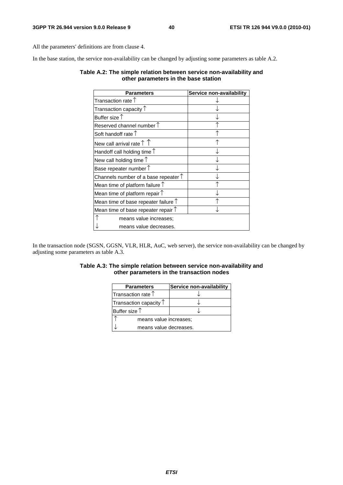All the parameters' definitions are from clause 4.

In the base station, the service non-availability can be changed by adjusting some parameters as table A.2.

#### **Table A.2: The simple relation between service non-availability and other parameters in the base station**

| Parameters                                    | Service non-availability |
|-----------------------------------------------|--------------------------|
| Transaction rate $\uparrow$                   |                          |
| Transaction capacity $\uparrow$               |                          |
| Buffer size $\uparrow$                        |                          |
| Reserved channel number $\uparrow$            |                          |
| Soft handoff rate $\uparrow$                  |                          |
| New call arrival rate $\uparrow \uparrow$     |                          |
| Handoff call holding time $\uparrow$          |                          |
| New call holding time $\uparrow$              |                          |
| Base repeater number 1                        |                          |
| Channels number of a base repeater $\uparrow$ |                          |
| Mean time of platform failure $\uparrow$      |                          |
| Mean time of platform repair $\uparrow$       |                          |
| Mean time of base repeater failure $\uparrow$ |                          |
| Mean time of base repeater repair $\uparrow$  |                          |
| means value increases;                        |                          |
| means value decreases.                        |                          |

In the transaction node (SGSN, GGSN, VLR, HLR, AuC, web server), the service non-availability can be changed by adjusting some parameters as table A.3.

#### **Table A.3: The simple relation between service non-availability and other parameters in the transaction nodes**

| <b>Parameters</b>               | Service non-availability |  |
|---------------------------------|--------------------------|--|
| Transaction rate $\uparrow$     |                          |  |
| Transaction capacity $\uparrow$ |                          |  |
| Buffer size $\uparrow$          |                          |  |
| means value increases;          |                          |  |
| means value decreases.          |                          |  |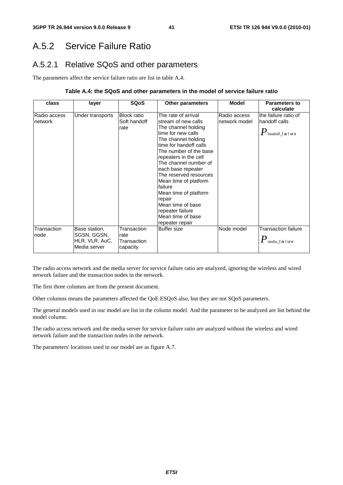# A.5.2 Service Failure Ratio

## A.5.2.1 Relative SQoS and other parameters

The parameters affect the service failure ratio are list in table A.4.

#### **Table A.4: the SQoS and other parameters in the model of service failure ratio**

| class                   | layer                                                          | <b>SQoS</b>                                    | <b>Other parameters</b>                                                                                                                                                                                                                                                                                                                                                                                                      | <b>Model</b>                  | <b>Parameters to</b><br>calculate                                           |
|-------------------------|----------------------------------------------------------------|------------------------------------------------|------------------------------------------------------------------------------------------------------------------------------------------------------------------------------------------------------------------------------------------------------------------------------------------------------------------------------------------------------------------------------------------------------------------------------|-------------------------------|-----------------------------------------------------------------------------|
| Radio access<br>network | Under transports                                               | <b>Block ratio</b><br>Soft handoff<br>rate     | The rate of arrival<br>stream of new calls<br>The channel holding<br>time for new calls<br>The channel holding<br>time for handoff calls<br>The number of the base<br>repeaters in the cell<br>The channel number of<br>each base repeater<br>The reserved resources<br>Mean time of platform<br>failure<br>Mean time of platform<br>repair<br>Mean time of base<br>repeater failure<br>Mean time of base<br>repeater repair | Radio access<br>network model | the failure ratio of<br>handoff calls<br>$\pmb{P}_\text{handoff\_f}$ ailure |
| Transaction<br>node     | Base station,<br>SGSN, GGSN,<br>HLR, VLR, AuC,<br>Media server | Transaction<br>rate<br>Transaction<br>capacity | <b>Buffer size</b>                                                                                                                                                                                                                                                                                                                                                                                                           | Node model                    | <b>Transaction failure</b><br>$\pmb{P}_{\text{media\_f} \text{ai lure}}$    |

The radio access network and the media server for service failure ratio are analyzed, ignoring the wireless and wired network failure and the transaction nodes in the network.

The first three columns are from the present document.

Other columns means the parameters affected the QoE ESQoS also, but they are not SQoS parameters.

The general models used in our model are list in the column model. And the parameter to be analyzed are list behind the model column.

The radio access network and the media server for service failure ratio are analyzed without the wireless and wired network failure and the transaction nodes in the network.

The parameters' locations used in our model are as figure A.7.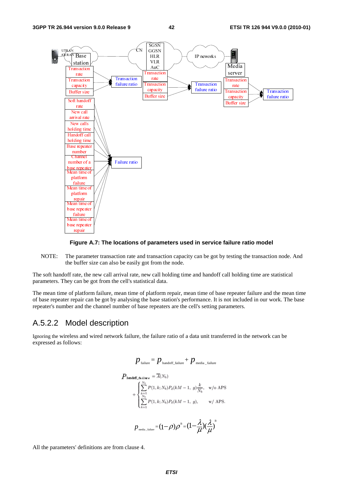

#### **Figure A.7: The locations of parameters used in service failure ratio model**

NOTE: The parameter transaction rate and transaction capacity can be got by testing the transaction node. And the buffer size can also be easily got from the node.

The soft handoff rate, the new call arrival rate, new call holding time and handoff call holding time are statistical parameters. They can be got from the cell's statistical data.

The mean time of platform failure, mean time of platform repair, mean time of base repeater failure and the mean time of base repeater repair can be got by analysing the base station's performance. It is not included in our work. The base repeater's number and the channel number of base repeaters are the cell's setting parameters.

#### A.5.2.2 Model description

Ignoring the wireless and wired network failure, the failure ratio of a data unit transferred in the network can be expressed as follows:

$$
p_{\text{failure}} = p_{\text{handoff\_failure}} + p_{\text{median\_failure}}
$$
\n
$$
P_{\text{handoff\_failure}} = \overline{A}(N_b)
$$
\n
$$
+ \begin{cases} \sum_{k=1}^{N_b} P(1, k; N_b) P_d(kM - 1, g) \frac{k}{N_b}, & \text{w/o APS.} \\ \sum_{k=1}^{N_b} P(1, k; N_b) P_d(kM - 1, g), & \text{w/APS.} \end{cases}
$$
\n
$$
p_{\text{median\_failure}} = (1 - \rho) \rho^B = (1 - \frac{\lambda}{\mu})(\frac{\lambda}{\mu})^B
$$

All the parameters' definitions are from clause 4.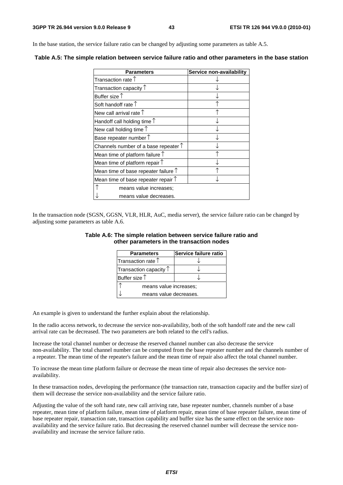In the base station, the service failure ratio can be changed by adjusting some parameters as table A.5.

| <b>Parameters</b>                             | Service non-availability |
|-----------------------------------------------|--------------------------|
| Transaction rate $\uparrow$                   |                          |
| Transaction capacity $\uparrow$               |                          |
| Buffer size $\uparrow$                        |                          |
| Soft handoff rate $\uparrow$                  |                          |
| New call arrival rate $\uparrow$              |                          |
| Handoff call holding time $\uparrow$          |                          |
| New call holding time $\uparrow$              |                          |
| Base repeater number 1                        |                          |
| Channels number of a base repeater $\uparrow$ |                          |
| Mean time of platform failure $\uparrow$      |                          |
| Mean time of platform repair $\uparrow$       |                          |
| Mean time of base repeater failure $\uparrow$ |                          |
| Mean time of base repeater repair $\uparrow$  |                          |
| means value increases;                        |                          |
| means value decreases.                        |                          |

**Table A.5: The simple relation between service failure ratio and other parameters in the base station** 

In the transaction node (SGSN, GGSN, VLR, HLR, AuC, media server), the service failure ratio can be changed by adjusting some parameters as table A.6.

#### **Table A.6: The simple relation between service failure ratio and other parameters in the transaction nodes**

| <b>Parameters</b>               | Service failure ratio |  |
|---------------------------------|-----------------------|--|
| Transaction rate $\uparrow$     |                       |  |
| Transaction capacity $\uparrow$ |                       |  |
| Buffer size $\uparrow$          |                       |  |
| means value increases;          |                       |  |
| means value decreases.          |                       |  |

An example is given to understand the further explain about the relationship.

In the radio access network, to decrease the service non-availability, both of the soft handoff rate and the new call arrival rate can be decreased. The two parameters are both related to the cell's radius.

Increase the total channel number or decrease the reserved channel number can also decrease the service non-availability. The total channel number can be computed from the base repeater number and the channels number of a repeater. The mean time of the repeater's failure and the mean time of repair also affect the total channel number.

To increase the mean time platform failure or decrease the mean time of repair also decreases the service nonavailability.

In these transaction nodes, developing the performance (the transaction rate, transaction capacity and the buffer size) of them will decrease the service non-availability and the service failure ratio.

Adjusting the value of the soft hand rate, new call arriving rate, base repeater number, channels number of a base repeater, mean time of platform failure, mean time of platform repair, mean time of base repeater failure, mean time of base repeater repair, transaction rate, transaction capability and buffer size has the same effect on the service nonavailability and the service failure ratio. But decreasing the reserved channel number will decrease the service nonavailability and increase the service failure ratio.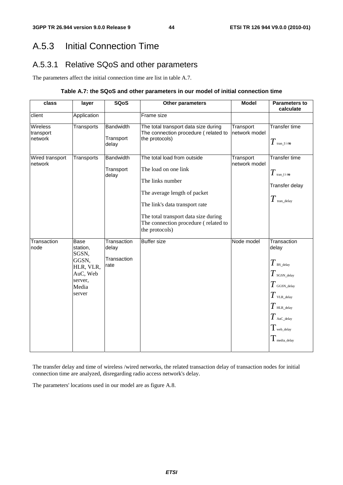# A.5.3 Initial Connection Time

# A.5.3.1 Relative SQoS and other parameters

The parameters affect the initial connection time are list in table A.7.

#### **Table A.7: the SQoS and other parameters in our model of initial connection time**

| class                            | layer                                                                                            | <b>SQoS</b>                                 | Other parameters                                                                                                                                                                                                                            | <b>Model</b>               | <b>Parameters to</b><br>calculate                                                                                                                                                                    |
|----------------------------------|--------------------------------------------------------------------------------------------------|---------------------------------------------|---------------------------------------------------------------------------------------------------------------------------------------------------------------------------------------------------------------------------------------------|----------------------------|------------------------------------------------------------------------------------------------------------------------------------------------------------------------------------------------------|
| client                           | Application                                                                                      |                                             | Frame size                                                                                                                                                                                                                                  |                            |                                                                                                                                                                                                      |
| Wireless<br>transport<br>network | Transports                                                                                       | <b>Bandwidth</b><br>Transport<br>delay      | The total transport data size during<br>The connection procedure (related to<br>the protocols)                                                                                                                                              | Transport<br>network model | <b>Transfer time</b><br>$T$ tran_t i me                                                                                                                                                              |
| Wired transport<br>network       | Transports                                                                                       | <b>Bandwidth</b><br>Transport<br>delay      | The total load from outside<br>The load on one link<br>The links number<br>The average length of packet<br>The link's data transport rate<br>The total transport data size during<br>The connection procedure (related to<br>the protocols) | Transport<br>network model | Transfer time<br>$T$ tran_t i me<br>Transfer delay<br>$T$ tran_delay                                                                                                                                 |
| Transaction<br>node              | <b>Base</b><br>station,<br>SGSN,<br>GGSN,<br>HLR, VLR,<br>AuC, Web<br>server,<br>Media<br>server | Transaction<br>delay<br>Transaction<br>rate | <b>Buffer size</b>                                                                                                                                                                                                                          | Node model                 | Transaction<br>delay<br>$T$ BS_delay<br>$T$ sgSN_delay<br>$T$ GGSN_delay<br>$T$ vlr._delay<br>$T$ HLR_delay<br>$T$ AuC_delay<br>$T_{\scriptscriptstyle\rm web\_delay}$<br>$T_{\rm \; median\_delay}$ |

The transfer delay and time of wireless /wired networks, the related transaction delay of transaction nodes for initial connection time are analyzed, disregarding radio access network's delay.

The parameters' locations used in our model are as figure A.8.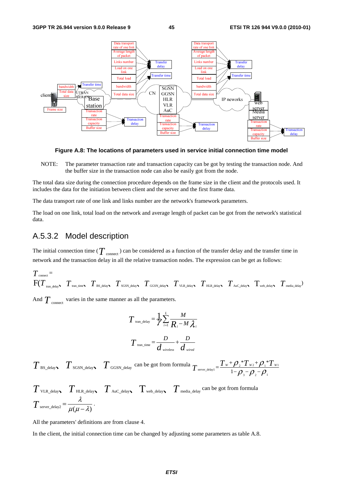

**Figure A.8: The locations of parameters used in service initial connection time model** 

NOTE: The parameter transaction rate and transaction capacity can be got by testing the transaction node. And the buffer size in the transaction node can also be easily got from the node.

The total data size during the connection procedure depends on the frame size in the client and the protocols used. It includes the data for the initiation between client and the server and the first frame data.

The data transport rate of one link and links number are the network's framework parameters.

The load on one link, total load on the network and average length of packet can be got from the network's statistical data.

#### A.5.3.2 Model description

The initial connection time ( $T$  <sub>connect</sub>) can be considered as a function of the transfer delay and the transfer time in network and the transaction delay in all the relative transaction nodes. The expression can be get as follows:

$$
T_{\text{connect}} = \nF(T_{\text{tran\_delay}}, T_{\text{tran\_time}}, T_{\text{BS\_delay}}, T_{\text{SGSN\_delay}}, T_{\text{GGSN\_delay}}, T_{\text{VLR\_delay}}, T_{\text{HL\_delay}}, T_{\text{Auc\_delay}}, T_{\text{web\_delay}}, T_{\text{median}})
$$

And  $T_{\text{connect}}$  varies in the same manner as all the parameters.

$$
T_{\text{tran\_delay}} = \frac{1}{\gamma} \sum_{i=1}^{L} \frac{M}{R_i - M \lambda_i}
$$

$$
T_{\text{tran\_time}} = \frac{D}{d_{\text{wireless}}} + \frac{D}{d_{\text{wire}}
$$

 $T$ <sub>BS\_delay  $T$ <sub>SGSN\_delay</sub>  $T$ <sub>GGSN\_delay</sub> can be got from formula  $T$ <sub>server\_delay1</sub> =  $\frac{T_w + \rho_z * T_{w_2} + \rho_1 * T_{w_1}}{1 - \rho_z - \rho_z - \rho_z}$ </sub> 3  $\mu_2$   $\mu_1$  $T_{w_2}$ +  $Q^*$  $T_{\text{server\_delay1}} = \frac{T_w + \rho_{2} * T_{w2} + \rho_{1} * T_w}{1 - \rho_{3} - \rho_{2} - \rho_{1}}$ 

$$
T_{\text{VLR\_delay}} \sum_{\text{HLR\_delay}} T_{\text{Auc\_delay}} \sum_{\text{web\_delay}} T_{\text{median}} \sum_{\text{c} \text{at } \text{long}} \text{can be got from formula}
$$
  

$$
T_{\text{server\_delay}} = \frac{\lambda}{\mu(\mu - \lambda)}.
$$

All the parameters' definitions are from clause 4.

In the client, the initial connection time can be changed by adjusting some parameters as table A.8.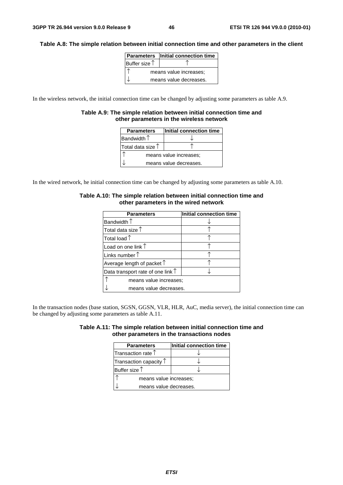#### **Table A.8: The simple relation between initial connection time and other parameters in the client**

|               | <b>Parameters</b> Initial connection time |
|---------------|-------------------------------------------|
| Buffer size 1 |                                           |
|               | means value increases;                    |
|               | means value decreases.                    |

In the wireless network, the initial connection time can be changed by adjusting some parameters as table A.9.

#### **Table A.9: The simple relation between initial connection time and other parameters in the wireless network**

| <b>Parameters</b>      | Initial connection time |  |
|------------------------|-------------------------|--|
| Bandwidth $\uparrow$   |                         |  |
| Total data size 1      |                         |  |
| means value increases; |                         |  |
| means value decreases. |                         |  |

In the wired network, he initial connection time can be changed by adjusting some parameters as table A.10.

| <b>Parameters</b>                          | Initial connection time |  |
|--------------------------------------------|-------------------------|--|
| Bandwidth $\uparrow$                       |                         |  |
| Total data size $\uparrow$                 |                         |  |
| Total load $\mathop{\uparrow}$             |                         |  |
| Load on one link $\uparrow$                |                         |  |
| Links number $\uparrow$                    |                         |  |
| Average length of packet $\uparrow$        |                         |  |
| Data transport rate of one link $\uparrow$ |                         |  |
| means value increases:                     |                         |  |
| means value decreases.                     |                         |  |

#### **Table A.10: The simple relation between initial connection time and other parameters in the wired network**

In the transaction nodes (base station, SGSN, GGSN, VLR, HLR, AuC, media server), the initial connection time can be changed by adjusting some parameters as table A.11.

| Table A.11: The simple relation between initial connection time and |                                            |  |
|---------------------------------------------------------------------|--------------------------------------------|--|
|                                                                     | other parameters in the transactions nodes |  |

| <b>Parameters</b>               | Initial connection time |  |
|---------------------------------|-------------------------|--|
| Transaction rate $†$            |                         |  |
| Transaction capacity $\uparrow$ |                         |  |
| Buffer size $\uparrow$          |                         |  |
| means value increases;          |                         |  |
| means value decreases.          |                         |  |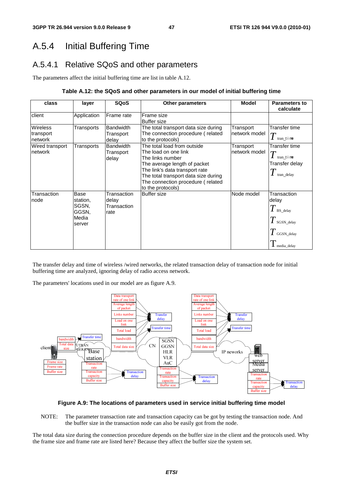# A.5.4 Initial Buffering Time

## A.5.4.1 Relative SQoS and other parameters

The parameters affect the initial buffering time are list in table A.12.

#### **Table A.12: the SQoS and other parameters in our model of initial buffering time**

| class                                   | layer                                                        | <b>SQoS</b>                                 | <b>Other parameters</b>                                                                                                                                                                                                                     | <b>Model</b>               | <b>Parameters to</b><br>calculate                                                                     |
|-----------------------------------------|--------------------------------------------------------------|---------------------------------------------|---------------------------------------------------------------------------------------------------------------------------------------------------------------------------------------------------------------------------------------------|----------------------------|-------------------------------------------------------------------------------------------------------|
| client                                  | Application                                                  | Frame rate                                  | Frame size<br><b>Buffer size</b>                                                                                                                                                                                                            |                            |                                                                                                       |
| <b>Wireless</b><br>transport<br>network | Transports                                                   | <b>Bandwidth</b><br>Transport<br>delay      | The total transport data size during<br>The connection procedure (related<br>to the protocols)                                                                                                                                              | Transport<br>network model | Transfer time<br>$T$ tran_t i me                                                                      |
| Wired transport<br>network              | Transports                                                   | <b>Bandwidth</b><br>Transport<br>delay      | The total load from outside<br>The load on one link<br>The links number<br>The average length of packet<br>The link's data transport rate<br>The total transport data size during<br>The connection procedure (related<br>to the protocols) | Transport<br>network model | Transfer time<br>$T$ tran_t i me<br>Transfer delay<br>$\mathbf{I}$ tran delay                         |
| Transaction<br>node                     | <b>Base</b><br>station,<br>SGSN,<br>GGSN,<br>Media<br>server | Transaction<br>delay<br>Transaction<br>rate | <b>Buffer size</b>                                                                                                                                                                                                                          | Node model                 | Transaction<br>delay<br>$T$ BS_delay<br>i $T$ sgSN_delay<br>$T$ GGSN_delay<br>$\mathbf 1$ media_delay |

The transfer delay and time of wireless /wired networks, the related transaction delay of transaction node for initial buffering time are analyzed, ignoring delay of radio access network.

The parameters' locations used in our model are as figure A.9.



#### **Figure A.9: The locations of parameters used in service initial buffering time model**

NOTE: The parameter transaction rate and transaction capacity can be got by testing the transaction node. And the buffer size in the transaction node can also be easily got from the node.

The total data size during the connection procedure depends on the buffer size in the client and the protocols used. Why the frame size and frame rate are listed here? Because they affect the buffer size the system set.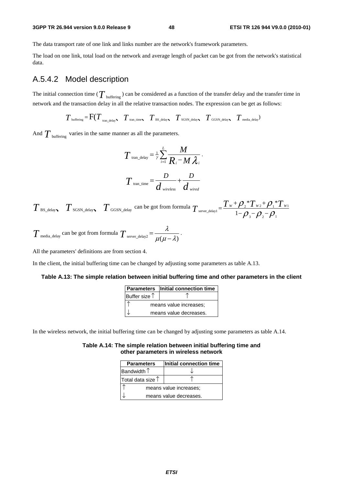#### **3GPP TR 26.944 version 9.0.0 Release 9 48 ETSI TR 126 944 V9.0.0 (2010-01)**

The data transport rate of one link and links number are the network's framework parameters.

The load on one link, total load on the network and average length of packet can be got from the network's statistical data.

### A.5.4.2 Model description

The initial connection time ( $T_{\text{buffering}}$ ) can be considered as a function of the transfer delay and the transfer time in network and the transaction delay in all the relative transaction nodes. The expression can be get as follows:

 $T_{\text{buffering}} = \text{F}(T_{\text{tran delay}} \mid T_{\text{tran time}} \mid T_{\text{BS delay}} \mid T_{\text{SGSN delay}} \mid T_{\text{GGSN delay}} \mid T_{\text{median}})$ 

And  $T_{\text{buffering}}$  varies in the same manner as all the parameters.

$$
T_{\text{tran\_delay}} = \frac{1}{\gamma} \sum_{i=1}^{L} \frac{M}{R_i - M \lambda_i}.
$$

$$
T_{\text{tran\_time}} = \frac{D}{d_{\text{wireless}}} + \frac{D}{d_{\text{wireed}}}
$$

 $T$  BS\_delay  $T$  SGSN\_delay  $T$  GGSN\_delay can be got from formula  $T$  server\_delay1 =  $\frac{T_W + \rho_2 T_W + \rho_1 T_W}{1 - \rho_1 - \rho_2}$ 3  ${\cal F}$  2  ${\cal F}$  1  $*T_{w}$ + $\mathcal{O}.*$  $T_{\text{server\_delay1}} = \frac{T_w + \rho_{_2} * T_{w_2} + \rho_{_1} * T_w}{1 - \rho_{_3} - \rho_{_2} - \rho_{_1}}$ 

$$
T_{\text{median}}
$$
 can be got from formula  $T_{\text{server\_delay2}} = \frac{\lambda}{\mu(\mu - \lambda)}$ .

All the parameters' definitions are from section 4.

In the client, the initial buffering time can be changed by adjusting some parameters as table A.13.

#### **Table A.13: The simple relation between initial buffering time and other parameters in the client**

|                        | <b>Parameters</b> Initial connection time |
|------------------------|-------------------------------------------|
| Buffer size $\uparrow$ |                                           |
|                        | means value increases;                    |
|                        | means value decreases.                    |

In the wireless network, the initial buffering time can be changed by adjusting some parameters as table A.14.

#### **Table A.14: The simple relation between initial buffering time and other parameters in wireless network**

| <b>Parameters</b>          | Initial connection time |  |  |  |
|----------------------------|-------------------------|--|--|--|
| Bandwidth $\uparrow$       |                         |  |  |  |
| Total data size $\uparrow$ |                         |  |  |  |
| means value increases;     |                         |  |  |  |
|                            | means value decreases.  |  |  |  |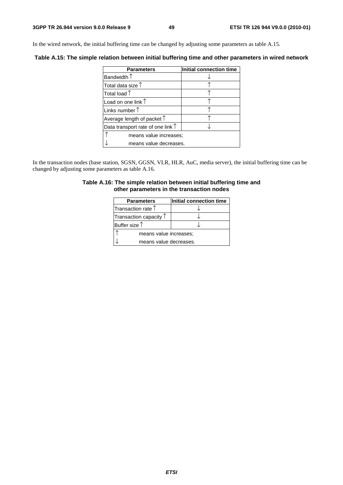In the wired network, the initial buffering time can be changed by adjusting some parameters as table A.15.

**Table A.15: The simple relation between initial buffering time and other parameters in wired network** 

| <b>Parameters</b>                          | Initial connection time |  |  |  |
|--------------------------------------------|-------------------------|--|--|--|
| Bandwidth $\uparrow$                       |                         |  |  |  |
| Total data size 1                          |                         |  |  |  |
| Total load $\uparrow$                      |                         |  |  |  |
| Load on one link $\uparrow$                |                         |  |  |  |
| Links number $\uparrow$                    |                         |  |  |  |
| Average length of packet $\uparrow$        |                         |  |  |  |
| Data transport rate of one link $\uparrow$ |                         |  |  |  |
| means value increases;                     |                         |  |  |  |
| means value decreases.                     |                         |  |  |  |

In the transaction nodes (base station, SGSN, GGSN, VLR, HLR, AuC, media server), the initial buffering time can be changed by adjusting some parameters as table A.16.

#### **Table A.16: The simple relation between initial buffering time and other parameters in the transaction nodes**

| <b>Parameters</b>               | Initial connection time |  |  |  |
|---------------------------------|-------------------------|--|--|--|
| Transaction rate $\uparrow$     |                         |  |  |  |
| Transaction capacity $\uparrow$ |                         |  |  |  |
| Buffer size $\uparrow$          |                         |  |  |  |
|                                 | means value increases;  |  |  |  |
| means value decreases.          |                         |  |  |  |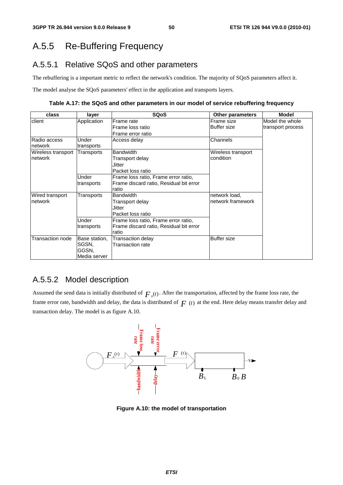# A.5.5 Re-Buffering Frequency

## A.5.5.1 Relative SQoS and other parameters

The rebuffering is a important metric to reflect the network's condition. The majority of SQoS parameters affect it.

The model analyse the SQoS parameters' effect in the application and transports layers.

**Table A.17: the SQoS and other parameters in our model of service rebuffering frequency** 

| class              | layer         | <b>SQoS</b>                             | <b>Other parameters</b> | <b>Model</b>      |
|--------------------|---------------|-----------------------------------------|-------------------------|-------------------|
| client             | Application   | Frame rate                              | Frame size              | Model the whole   |
|                    |               | Frame loss ratio                        | <b>Buffer size</b>      | transport process |
|                    |               | Frame error ratio                       |                         |                   |
| Radio access       | Under         | Access delay                            | Channels                |                   |
| network            | transports    |                                         |                         |                   |
| Wireless transport | Transports    | <b>Bandwidth</b>                        |                         |                   |
| network            |               | Transport delay                         | condition               |                   |
|                    |               | Jitter                                  |                         |                   |
|                    |               | Packet loss ratio                       |                         |                   |
|                    | Under         | Frame loss ratio, Frame error ratio,    |                         |                   |
|                    | transports    | Frame discard ratio, Residual bit error |                         |                   |
|                    |               | ratio                                   |                         |                   |
| Wired transport    | Transports    | <b>Bandwidth</b>                        | network load,           |                   |
| network            |               | Transport delay                         | network framework       |                   |
|                    |               | Jitter                                  |                         |                   |
|                    |               | Packet loss ratio                       |                         |                   |
|                    | Under         | Frame loss ratio, Frame error ratio,    |                         |                   |
|                    | transports    | Frame discard ratio, Residual bit error |                         |                   |
|                    |               | ratio                                   |                         |                   |
| Transaction node   | Base station, | Transaction delay                       | <b>Buffer size</b>      |                   |
|                    | SGSN.         | <b>Transaction rate</b>                 |                         |                   |
|                    | GGSN,         |                                         |                         |                   |
|                    | Media server  |                                         |                         |                   |

### A.5.5.2 Model description

Assumed the send data is initially distributed of  $F_0(t)$ . After the transportation, affected by the frame loss rate, the frame error rate, bandwidth and delay, the data is distributed of  $F(t)$  at the end. Here delay means transfer delay and transaction delay. The model is as figure A.10.

![](_page_50_Figure_11.jpeg)

**Figure A.10: the model of transportation**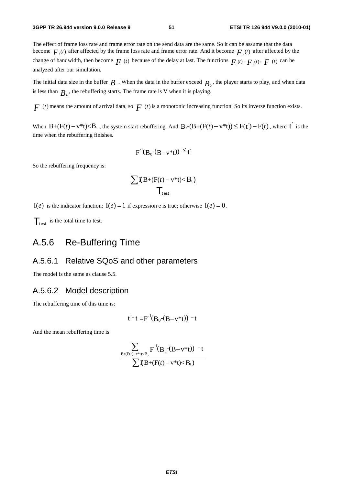The effect of frame loss rate and frame error rate on the send data are the same. So it can be assume that the data become  $F_{\mu}(t)$  after affected by the frame loss rate and frame error rate. And it become  $F_{\mu}(t)$  after affected by the change of bandwidth, then become  $F(t)$  because of the delay at last. The functions  $F_1(t)$ ,  $F_2(t)$ ,  $F(t)$  can be analyzed after our simulation.

The initial data size in the buffer  $B$ . When the data in the buffer exceed  $B_0$ , the player starts to play, and when data is less than  $B<sub>i</sub>$ , the rebuffering starts. The frame rate is V when it is playing.

 $F(t)$  means the amount of arrival data, so  $F(t)$  is a monotonic increasing function. So its inverse function exists.

When  $B+(F(t)-v^*t) < B_+$ , the system start rebuffering. And  $B_0-(B+(F(t)-v^*t)) \leq F(t')-F(t)$ , where  $t'$  is the time when the rebuffering finishes.

$$
F^{-1}(B_0-(B-v^*t)) \leq t'
$$

So the rebuffering frequency is:

$$
\frac{\sum \mathbf{I}(B+(F(t)-v^*t)
$$

 $I(e)$  is the indicator function:  $I(e) = 1$  if expression e is true; otherwise  $I(e) = 0$ .

 $\mathcal{T}_{\text{test}}$  is the total time to test.

# A.5.6 Re-Buffering Time

#### A.5.6.1 Relative SQoS and other parameters

The model is the same as clause 5.5.

#### A.5.6.2 Model description

The rebuffering time of this time is:

$$
t^-t = F^{-1}(B_0-(B-v^*t)) - t
$$

And the mean rebuffering time is:

$$
\frac{\displaystyle\sum_{B+(F(t)-v^*t)
$$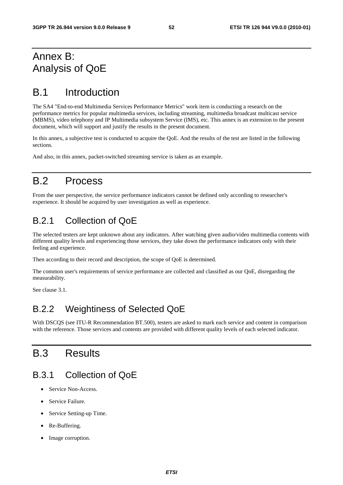# Annex B: Analysis of QoE

# B.1 Introduction

The SA4 "End-to-end Multimedia Services Performance Metrics" work item is conducting a research on the performance metrics for popular multimedia services, including streaming, multimedia broadcast multicast service (MBMS), video telephony and IP Multimedia subsystem Service (IMS), etc. This annex is an extension to the present document, which will support and justify the results in the present document.

In this annex, a subjective test is conducted to acquire the QoE. And the results of the test are listed in the following sections.

And also, in this annex, packet-switched streaming service is taken as an example.

# B.2 Process

From the user perspective, the service performance indicators cannot be defined only according to researcher's experience. It should be acquired by user investigation as well as experience.

## B.2.1 Collection of QoE

The selected testers are kept unknown about any indicators. After watching given audio/video multimedia contents with different quality levels and experiencing those services, they take down the performance indicators only with their feeling and experience.

Then according to their record and description, the scope of QoE is determined.

The common user's requirements of service performance are collected and classified as our QoE, disregarding the measurability.

See clause 3.1.

## B.2.2 Weightiness of Selected QoE

With DSCQS (see ITU-R Recommendation BT.500), testers are asked to mark each service and content in comparison with the reference. Those services and contents are provided with different quality levels of each selected indicator.

# B.3 Results

## B.3.1 Collection of QoE

- Service Non-Access.
- Service Failure.
- Service Setting-up Time.
- Re-Buffering.
- Image corruption.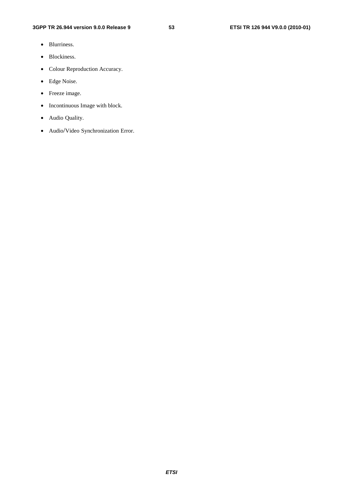- Blurriness.
- Blockiness.
- Colour Reproduction Accuracy.
- Edge Noise.
- Freeze image.
- Incontinuous Image with block.
- Audio Quality.
- Audio/Video Synchronization Error.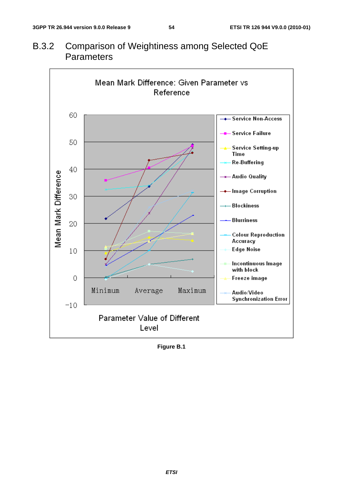# B.3.2 Comparison of Weightiness among Selected QoE **Parameters**

![](_page_54_Figure_4.jpeg)

**Figure B.1**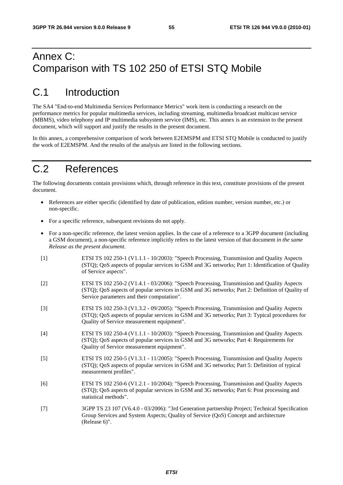# Annex C: Comparison with TS 102 250 of ETSI STQ Mobile

# C.1 Introduction

The SA4 "End-to-end Multimedia Services Performance Metrics" work item is conducting a research on the performance metrics for popular multimedia services, including streaming, multimedia broadcast multicast service (MBMS), video telephony and IP multimedia subsystem service (IMS), etc. This annex is an extension to the present document, which will support and justify the results in the present document.

In this annex, a comprehensive comparison of work between E2EMSPM and ETSI STQ Mobile is conducted to justify the work of E2EMSPM. And the results of the analysis are listed in the following sections.

# C.2 References

The following documents contain provisions which, through reference in this text, constitute provisions of the present document.

- References are either specific (identified by date of publication, edition number, version number, etc.) or non-specific.
- For a specific reference, subsequent revisions do not apply.
- For a non-specific reference, the latest version applies. In the case of a reference to a 3GPP document (including a GSM document), a non-specific reference implicitly refers to the latest version of that document *in the same Release as the present document*.
- [1] ETSI TS 102 250-1 (V1.1.1 10/2003): "Speech Processing, Transmission and Quality Aspects (STQ); QoS aspects of popular services in GSM and 3G networks; Part 1: Identification of Quality of Service aspects".
- [2] ETSI TS 102 250-2 (V1.4.1 03/2006): "Speech Processing, Transmission and Quality Aspects (STQ); QoS aspects of popular services in GSM and 3G networks; Part 2: Definition of Quality of Service parameters and their computation".
- [3] ETSI TS 102 250-3 (V1.3.2 09/2005): "Speech Processing, Transmission and Quality Aspects (STQ); QoS aspects of popular services in GSM and 3G networks; Part 3: Typical procedures for Quality of Service measurement equipment".
- [4] ETSI TS 102 250-4 (V1.1.1 10/2003): "Speech Processing, Transmission and Quality Aspects (STQ); QoS aspects of popular services in GSM and 3G networks; Part 4: Requirements for Quality of Service measurement equipment".
- [5] ETSI TS 102 250-5 (V1.3.1 11/2005): "Speech Processing, Transmission and Quality Aspects (STQ); QoS aspects of popular services in GSM and 3G networks; Part 5: Definition of typical measurement profiles".
- [6] ETSI TS 102 250-6 (V1.2.1 10/2004): "Speech Processing, Transmission and Quality Aspects (STQ); QoS aspects of popular services in GSM and 3G networks; Part 6: Post processing and statistical methods".
- [7] 3GPP TS 23 107 (V6.4.0 03/2006): "3rd Generation partnership Project; Technical Specification Group Services and System Aspects; Quality of Service (QoS) Concept and architecture (Release 6)".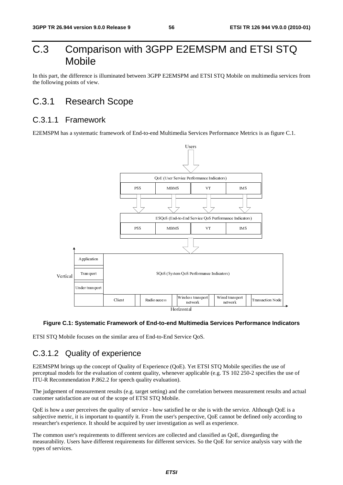# C.3 Comparison with 3GPP E2EMSPM and ETSI STQ Mobile

In this part, the difference is illuminated between 3GPP E2EMSPM and ETSI STQ Mobile on multimedia services from the following points of view.

## C.3.1 Research Scope

### C.3.1.1 Framework

E2EMSPM has a systematic framework of End-to-end Multimedia Services Performance Metrics is as figure C.1.

![](_page_56_Figure_8.jpeg)

#### **Figure C.1: Systematic Framework of End-to-end Multimedia Services Performance Indicators**

ETSI STQ Mobile focuses on the similar area of End-to-End Service QoS.

## C.3.1.2 Quality of experience

Client Radio access Horizontal<br>
Horizontal<br>
Horizontal<br>
imilar area of End-to-End Service QoS.<br> **Clience**<br> **Clience**<br> **Clience**<br> **Clience**<br> **Clience**<br> **Clience**<br> **Clience**<br> **Clience**<br> **Clience**<br> **Clience**<br> **Clience**<br> **Clie** International<br>**Transferience**<br>The correl<br>and correl<br>and correl<br>and correl<br>and correl<br>Supply 2011<br>and correl<br>Supply 2013<br>Supply 2013<br>Supply 2013<br>Supply 2013<br>Supply 2013<br>Supply 2013<br>Supply 2013<br>Supply 2013<br>Supply 2013<br>Supply The Mobile strategy and the services Perture of the service of the service control of the service cannot be a service of the service of the service of the service of the service of the service of the service of the service network<br>
ices Performance Indi<br>
IS 102 250-2 specifies th<br>
rean measurement results<br>
the service. Although Qo<br>
innot be defined only acc<br>
rience.<br>
s QoE, disregarding the<br>
l' for service analysis vary E2EMSPM brings up the concept of Quality of Experience (QoE). Yet ETSI STQ Mobile specifies the use of perceptual models for the evaluation of content quality, whenever applicable (e.g. TS 102 250-2 specifies the use of ITU-R Recommendation P.862.2 for speech quality evaluation).

The judgement of measurement results (e.g. target setting) and the correlation between measurement results and actual customer satisfaction are out of the scope of ETSI STQ Mobile.

QoE is how a user perceives the quality of service - how satisfied he or she is with the service. Although QoE is a subjective metric, it is important to quantify it. From the user's perspective, QoE cannot be defined only according to researcher's experience. It should be acquired by user investigation as well as experience.

The common user's requirements to different services are collected and classified as QoE, disregarding the measurability. Users have different requirements for different services. So the QoE for service analysis vary with the types of services.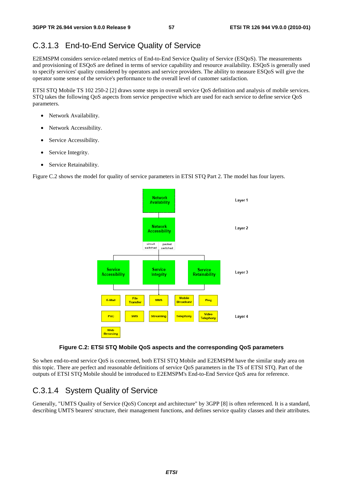## C.3.1.3 End-to-End Service Quality of Service

E2EMSPM considers service-related metrics of End-to-End Service Quality of Service (ESQoS). The measurements and provisioning of ESQoS are defined in terms of service capability and resource availability. ESQoS is generally used to specify services' quality considered by operators and service providers. The ability to measure ESQoS will give the operator some sense of the service's performance to the overall level of customer satisfaction.

ETSI STQ Mobile TS 102 250-2 [2] draws some steps in overall service QoS definition and analysis of mobile services. STQ takes the following QoS aspects from service perspective which are used for each service to define service QoS parameters.

- Network Availability.
- Network Accessibility.
- Service Accessibility.
- Service Integrity.
- Service Retainability.

Figure C.2 shows the model for quality of service parameters in ETSI STQ Part 2. The model has four layers.

![](_page_57_Figure_12.jpeg)

#### **Figure C.2: ETSI STQ Mobile QoS aspects and the corresponding QoS parameters**

So when end-to-end service QoS is concerned, both ETSI STQ Mobile and E2EMSPM have the similar study area on this topic. There are perfect and reasonable definitions of service QoS parameters in the TS of ETSI STQ. Part of the outputs of ETSI STQ Mobile should be introduced to E2EMSPM's End-to-End Service QoS area for reference.

### C.3.1.4 System Quality of Service

Generally, "UMTS Quality of Service (QoS) Concept and architecture" by 3GPP [8] is often referenced. It is a standard, describing UMTS bearers' structure, their management functions, and defines service quality classes and their attributes.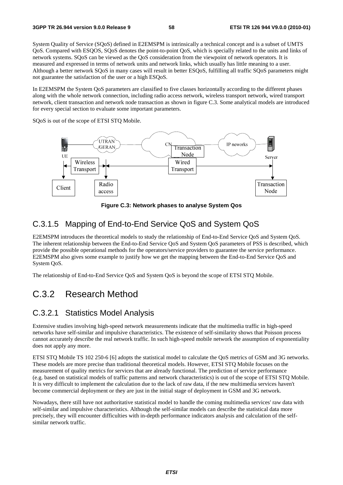System Quality of Service (SQoS) defined in E2EMSPM is intrinsically a technical concept and is a subset of UMTS QoS. Compared with ESQOS, SQoS denotes the point-to-point QoS, which is specially related to the units and links of network systems. SQoS can be viewed as the QoS consideration from the viewpoint of network operators. It is measured and expressed in terms of network units and network links, which usually has little meaning to a user. Although a better network SQoS in many cases will result in better ESQoS, fulfilling all traffic SQoS parameters might not guarantee the satisfaction of the user or a high ESQoS.

In E2EMSPM the System QoS parameters are classified to five classes horizontally according to the different phases along with the whole network connection, including radio access network, wireless transport network, wired transport network, client transaction and network node transaction as shown in figure C.3. Some analytical models are introduced for every special section to evaluate some important parameters.

SQoS is out of the scope of ETSI STQ Mobile.

![](_page_58_Figure_6.jpeg)

**Figure C.3: Network phases to analyse System Qos** 

## C.3.1.5 Mapping of End-to-End Service QoS and System QoS

E2EMSPM introduces the theoretical models to study the relationship of End-to-End Service QoS and System QoS. The inherent relationship between the End-to-End Service QoS and System QoS parameters of PSS is described, which provide the possible operational methods for the operators/service providers to guarantee the service performance. E2EMSPM also gives some example to justify how we get the mapping between the End-to-End Service QoS and System QoS.

The relationship of End-to-End Service QoS and System QoS is beyond the scope of ETSI STQ Mobile.

# C.3.2 Research Method

#### C.3.2.1 Statistics Model Analysis

Extensive studies involving high-speed network measurements indicate that the multimedia traffic in high-speed networks have self-similar and impulsive characteristics. The existence of self-similarity shows that Poisson process cannot accurately describe the real network traffic. In such high-speed mobile network the assumption of exponentiality does not apply any more.

ETSI STQ Mobile TS 102 250-6 [6] adopts the statistical model to calculate the QoS metrics of GSM and 3G networks. These models are more precise than traditional theoretical models. However, ETSI STQ Mobile focuses on the measurement of quality metrics for services that are already functional. The prediction of service performance (e.g. based on statistical models of traffic patterns and network characteristics) is out of the scope of ETSI STQ Mobile. It is very difficult to implement the calculation due to the lack of raw data, if the new multimedia services haven't become commercial deployment or they are just in the initial stage of deployment in GSM and 3G network.

Nowadays, there still have not authoritative statistical model to handle the coming multimedia services' raw data with self-similar and impulsive characteristics. Although the self-similar models can describe the statistical data more precisely, they will encounter difficulties with in-depth performance indicators analysis and calculation of the selfsimilar network traffic.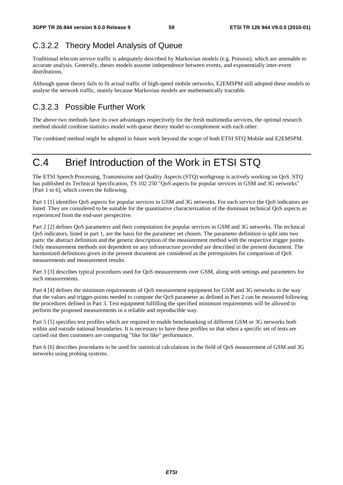# C.3.2.2 Theory Model Analysis of Queue

Traditional telecom service traffic is adequately described by Markovian models (e.g. Poisson), which are amenable to accurate analysis. Generally, theses models assume independence between events, and exponentially inter-event distributions.

Although queue theory fails to fit actual traffic of high-speed mobile networks, E2EMSPM still adopted these models to analyse the network traffic, mainly because Markovian models are mathematically tractable.

# C.3.2.3 Possible Further Work

The above two methods have its own advantages respectively for the fresh multimedia services, the optimal research method should combine statistics model with queue theory model to complement with each other.

The combined method might be adopted in future work beyond the scope of both ETSI STQ Mobile and E2EMSPM.

# C.4 Brief Introduction of the Work in ETSI STQ

The ETSI Speech Processing, Transmission and Quality Aspects (STQ) workgroup is actively working on QoS. STQ has published its Technical Specification, TS 102 250 "QoS aspects for popular services in GSM and 3G networks" [Part 1 to 6], which covers the following.

Part 1 [1] identifies QoS aspects for popular services in GSM and 3G networks. For each service the QoS indicators are listed. They are considered to be suitable for the quantitative characterization of the dominant technical QoS aspects as experienced from the end-user perspective.

Part 2 [2] defines QoS parameters and their computation for popular services in GSM and 3G networks. The technical QoS indicators, listed in part 1, are the basis for the parameter set chosen. The parameter definition is split into two parts: the abstract definition and the generic description of the measurement method with the respective trigger points. Only measurement methods not dependent on any infrastructure provided are described in the present document. The harmonized definitions given in the present document are considered as the prerequisites for comparison of QoS measurements and measurement results.

Part 3 [3] describes typical procedures used for QoS measurements over GSM, along with settings and parameters for such measurements.

Part 4 [4] defines the minimum requirements of QoS measurement equipment for GSM and 3G networks in the way that the values and trigger-points needed to compute the QoS parameter as defined in Part 2 can be measured following the procedures defined in Part 3. Test equipment fulfilling the specified minimum requirements will be allowed to perform the proposed measurements in a reliable and reproducible way.

Part 5 [5] specifies test profiles which are required to enable benchmarking of different GSM or 3G networks both within and outside national boundaries. It is necessary to have these profiles so that when a specific set of tests are carried out then customers are comparing "like for like" performance.

Part 6 [6] describes procedures to be used for statistical calculations in the field of QoS measurement of GSM and 3G networks using probing systems.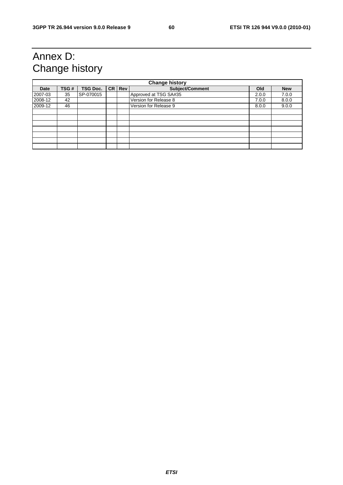# Annex D: Change history

| <b>Change history</b> |      |                 |  |          |                       |       |            |
|-----------------------|------|-----------------|--|----------|-----------------------|-------|------------|
| Date                  | TSG# | <b>TSG Doc.</b> |  | CR   Rev | Subject/Comment       | Old   | <b>New</b> |
| 2007-03               | 35   | SP-070015       |  |          | Approved at TSG SA#35 | 2.0.0 | 7.0.0      |
| 2008-12               | 42   |                 |  |          | Version for Release 8 | 7.0.0 | 8.0.0      |
| 2009-12               | 46   |                 |  |          | Version for Release 9 | 8.0.0 | 9.0.0      |
|                       |      |                 |  |          |                       |       |            |
|                       |      |                 |  |          |                       |       |            |
|                       |      |                 |  |          |                       |       |            |
|                       |      |                 |  |          |                       |       |            |
|                       |      |                 |  |          |                       |       |            |
|                       |      |                 |  |          |                       |       |            |
|                       |      |                 |  |          |                       |       |            |